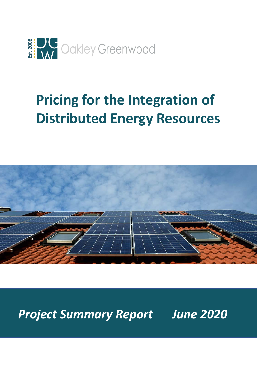

# **Pricing for the Integration of Distributed Energy Resources**



*Project Summary Report June 2020*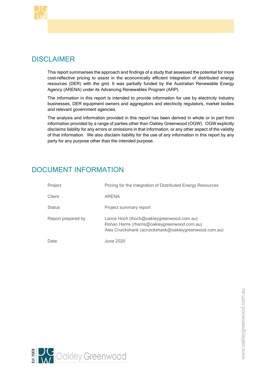

# DISCLAIMER

This report summarises the approach and findings of a study that assessed the potential for more cost-reflective pricing to assist in the economically efficient integration of distributed energy resources (DER) with the grid. It was partially funded by the Australian Renewable Energy Agency (ARENA) under its Advancing Renewables Program (ARP).

The information in this report is intended to provide information for use by electricity industry businesses, DER equipment owners and aggregators and electricity regulators, market bodies and relevant government agencies.

The analysis and information provided in this report has been derived in whole or in part from information provided by a range of parties other than Oakley Greenwood (OGW). OGW explicitly disclaims liability for any errors or omissions in that information, or any other aspect of the validity of that information. We also disclaim liability for the use of any information in this report by any party for any purpose other than the intended purpose.

# DOCUMENT INFORMATION

| Project            | Pricing for the Integration of Distributed Energy Resources                                                                                          |  |  |  |
|--------------------|------------------------------------------------------------------------------------------------------------------------------------------------------|--|--|--|
| Client             | ARENA                                                                                                                                                |  |  |  |
| Status             | Project summary report                                                                                                                               |  |  |  |
| Report prepared by | Lance Hoch (Ihoch@oakleygreenwood.com.au)<br>Rohan Harris (rharris@oakleygreenwood.com.au)<br>Alex Cruickshank (acruickshank@oakleygreenwood.com.au) |  |  |  |
| Date               | June 2020                                                                                                                                            |  |  |  |

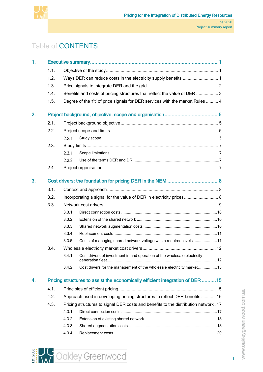

# Table of CONTENTS

| 1.               |      |        |                                                                                     |  |  |  |  |  |  |  |
|------------------|------|--------|-------------------------------------------------------------------------------------|--|--|--|--|--|--|--|
|                  | 1.1. |        |                                                                                     |  |  |  |  |  |  |  |
|                  | 1.2. |        |                                                                                     |  |  |  |  |  |  |  |
|                  | 1.3. |        |                                                                                     |  |  |  |  |  |  |  |
|                  | 1.4. |        | Benefits and costs of pricing structures that reflect the value of DER  3           |  |  |  |  |  |  |  |
|                  | 1.5. |        | Degree of the 'fit' of price signals for DER services with the market Rules  4      |  |  |  |  |  |  |  |
| $\overline{2}$ . |      |        |                                                                                     |  |  |  |  |  |  |  |
|                  | 2.1. |        |                                                                                     |  |  |  |  |  |  |  |
|                  | 2.2. |        |                                                                                     |  |  |  |  |  |  |  |
|                  |      | 2.2.1. |                                                                                     |  |  |  |  |  |  |  |
|                  | 2.3. |        |                                                                                     |  |  |  |  |  |  |  |
|                  |      | 2.3.1. |                                                                                     |  |  |  |  |  |  |  |
|                  |      | 2.3.2. |                                                                                     |  |  |  |  |  |  |  |
|                  | 2.4. |        |                                                                                     |  |  |  |  |  |  |  |
| 3.               |      |        |                                                                                     |  |  |  |  |  |  |  |
|                  | 3.1. |        |                                                                                     |  |  |  |  |  |  |  |
|                  | 3.2. |        | Incorporating a signal for the value of DER in electricity prices 8                 |  |  |  |  |  |  |  |
|                  | 3.3. |        |                                                                                     |  |  |  |  |  |  |  |
|                  |      | 3.3.1. |                                                                                     |  |  |  |  |  |  |  |
|                  |      | 3.3.2. |                                                                                     |  |  |  |  |  |  |  |
|                  |      | 3.3.3. |                                                                                     |  |  |  |  |  |  |  |
|                  |      | 3.3.4. |                                                                                     |  |  |  |  |  |  |  |
|                  |      | 3.3.5. | Costs of managing shared network voltage within required levels 11                  |  |  |  |  |  |  |  |
|                  | 3.4. |        |                                                                                     |  |  |  |  |  |  |  |
|                  |      |        | 3.4.1. Cost drivers of investment in and operation of the wholesale electricity     |  |  |  |  |  |  |  |
|                  |      | 3.4.2. | Cost drivers for the management of the wholesale electricity market13               |  |  |  |  |  |  |  |
| 4.               |      |        | Pricing structures to assist the economically efficient integration of DER 15       |  |  |  |  |  |  |  |
|                  | 4.1. |        |                                                                                     |  |  |  |  |  |  |  |
|                  | 4.2. |        | Approach used in developing pricing structures to reflect DER benefits 16           |  |  |  |  |  |  |  |
|                  | 4.3. |        | Pricing structures to signal DER costs and benefits to the distribution network. 17 |  |  |  |  |  |  |  |
|                  |      | 4.3.1  |                                                                                     |  |  |  |  |  |  |  |
|                  |      | 4.3.2. |                                                                                     |  |  |  |  |  |  |  |
|                  |      | 4.3.3. |                                                                                     |  |  |  |  |  |  |  |
|                  |      | 4.3.4. |                                                                                     |  |  |  |  |  |  |  |



i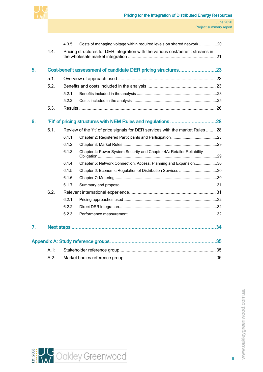

|    |         | 4.3.5. | Costs of managing voltage within required levels on shared network 20           |    |
|----|---------|--------|---------------------------------------------------------------------------------|----|
|    | 4.4.    |        | Pricing structures for DER integration with the various cost/benefit streams in |    |
| 5. |         |        | Cost-benefit assessment of candidate DER pricing structures23                   |    |
|    | 5.1.    |        |                                                                                 |    |
|    | 5.2.    |        |                                                                                 |    |
|    |         | 5.2.1. |                                                                                 |    |
|    |         | 5.2.2. |                                                                                 |    |
|    | 5.3.    |        |                                                                                 |    |
| 6. |         |        |                                                                                 |    |
|    | 6.1.    |        | Review of the 'fit' of price signals for DER services with the market Rules  28 |    |
|    |         | 6.1.1. |                                                                                 |    |
|    |         | 6.1.2. |                                                                                 |    |
|    |         | 6.1.3. | Chapter 4: Power System Security and Chapter 4A: Retailer Reliability           |    |
|    |         | 6.1.4. | Chapter 5: Network Connection, Access, Planning and Expansion30                 |    |
|    |         | 6.1.5. | Chapter 6: Economic Regulation of Distribution Services 30                      |    |
|    |         | 6.1.6. |                                                                                 |    |
|    |         | 6.1.7. |                                                                                 |    |
|    | 6.2.    |        |                                                                                 |    |
|    |         | 6.2.1. |                                                                                 |    |
|    |         | 6.2.2. |                                                                                 |    |
|    |         | 6.2.3. |                                                                                 |    |
| 7. |         |        |                                                                                 | 34 |
|    |         |        |                                                                                 |    |
|    | A.1:    |        |                                                                                 |    |
|    | $A.2$ : |        |                                                                                 |    |



ii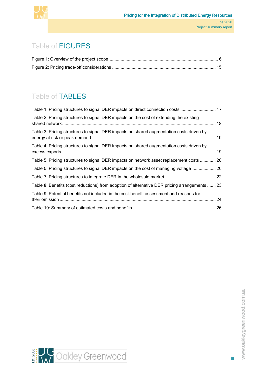

# Table of FIGURES

# Table of TABLES

| Table 1: Pricing structures to signal DER impacts on direct connection costs  17              |  |
|-----------------------------------------------------------------------------------------------|--|
| Table 2: Pricing structures to signal DER impacts on the cost of extending the existing       |  |
| Table 3: Pricing structures to signal DER impacts on shared augmentation costs driven by      |  |
| Table 4: Pricing structures to signal DER impacts on shared augmentation costs driven by      |  |
| Table 5: Pricing structures to signal DER impacts on network asset replacement costs  20      |  |
| Table 6: Pricing structures to signal DER impacts on the cost of managing voltage 20          |  |
|                                                                                               |  |
| Table 8: Benefits (cost reductions) from adoption of alternative DER pricing arrangements  23 |  |
| Table 9: Potential benefits not included in the cost-benefit assessment and reasons for       |  |
|                                                                                               |  |



iii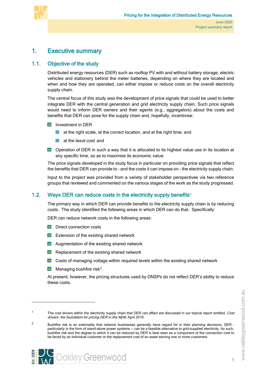

# <span id="page-5-0"></span>1. Executive summary

# 1.1. Objective of the study

<span id="page-5-1"></span>Distributed energy resources (DER) such as rooftop PV with and without battery storage, electric vehicles and stationery behind the meter batteries, depending on where they are located and when and how they are operated, can either impose or reduce costs on the overall electricity supply chain.

The central focus of this study was the development of price signals that could be used to better integrate DER with the central generation and grid electricity supply chain. Such price signals would need to inform DER owners and their agents (e.g., aggregators) about the costs and benefits that DER can pose for the supply chain and, hopefully, incentivise:

- **Investment in DER** 
	- at the right scale, at the correct location, and at the right time, and **College**
	- at the least cost, and
- **D** Operation of DER in such a way that it is allocated to its highest value use in its location at any specific time, so as to maximise its economic value.

The price signals developed in the study focus in particular on providing price signals that reflect the benefits that DER can provide to – and the costs it can impose on – the electricity supply chain.

Input to the project was provided from a variety of stakeholder perspectives via two reference groups that reviewed and commented on the various stages of the work as the study progressed.

## [1](#page-5-3).2. Ways DER can reduce costs in the electricity supply benefits<sup>1</sup>

<span id="page-5-2"></span>The primary way in which DER can provide benefits to the electricity supply chain is by reducing costs. The study identified the following areas in which DER can do that. Specifically:

DER can reduce network costs in the following areas:

- **D** Direct connection costs
- **EXTER** Extension of the existing shared network
- **Augmentation of the existing shared network**
- $\blacksquare$  Replacement of the existing shared network
- **D** Costs of managing voltage within required levels within the existing shared network
- $\blacksquare$  Managing bushfire risk<sup>[2](#page-5-4)</sup>.

At present, however, the pricing structures used by DNSPs do not reflect DER's ability to reduce these costs.



<span id="page-5-3"></span><sup>&</sup>lt;sup>1</sup> The cost drivers within the electricity supply chain that DER can affect are discussed in our topical report entitled, Cost drivers: the foundation for pricing DER in the NEM, April 2019.

<span id="page-5-4"></span><sup>&</sup>lt;sup>2</sup> Bushfire risk is an externality that network businesses generally have regard for in their planning decisions. DER particularly in the form of stand-alone power systems -- can be a feasible alternative to grid-supplied electricity. As such, bushfire risk and the degree to which it can be reduced by DER is best seen as a component of the connection cost to be faced by an individual customer or the replacement cost of an asset serving one or more customers.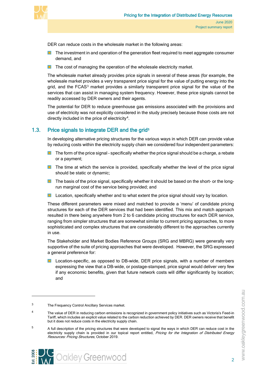

DER can reduce costs in the wholesale market in the following areas:

- **The investment in and operation of the generation fleet required to meet aggregate consumer** demand, and
- **The cost of managing the operation of the wholesale electricity market.**

The wholesale market already provides price signals in several of these areas (for example, the wholesale market provides a very transparent price signal for the value of putting energy into the grid, and the FCAS<sup>[3](#page-6-1)</sup> market provides a similarly transparent price signal for the value of the services that can assist in managing system frequency. However, these price signals cannot be readily accessed by DER owners and their agents.

The potential for DER to reduce greenhouse gas emissions associated with the provisions and use of electricity was not explicitly considered in the study precisely because those costs are not directly included in the price of electricity<sup>4</sup>.

# 1.3. Price signals to integrate DER and the grid<sup>[5](#page-6-3)</sup>

<span id="page-6-0"></span>In developing alternative pricing structures for the various ways in which DER can provide value by reducing costs within the electricity supply chain we considered four independent parameters:

- $\blacksquare$  The form of the price signal specifically whether the price signal should be a charge, a rebate or a payment;
- **The time at which the service is provided, specifically whether the level of the price signal** should be static or dynamic;
- **The basis of the price signal, specifically whether it should be based on the short- or the long**run marginal cost of the service being provided; and
- **Location, specifically whether and to what extent the price signal should vary by location.**

These different parameters were mixed and matched to provide a 'menu' of candidate pricing structures for each of the DER services that had been identified. This mix and match approach resulted in there being anywhere from 2 to 6 candidate pricing structures for each DER service, ranging from simpler structures that are somewhat similar to current pricing approaches, to more sophisticated and complex structures that are considerably different to the approaches currently in use.

The Stakeholder and Market Bodies Reference Groups (SRG and MBRG) were generally very supportive of the suite of pricing approaches that were developed. However, the SRG expressed a general preference for:

**La** Location-specific, as opposed to DB-wide, DER price signals, with a number of members expressing the view that a DB-wide, or postage-stamped, price signal would deliver very few if any economic benefits, given that future network costs will differ significantly by location; and



<span id="page-6-1"></span><sup>3</sup> The Frequency Control Ancillary Services market.

<span id="page-6-2"></span><sup>&</sup>lt;sup>4</sup> The value of DER in reducing carbon emissions is recognized in government policy initiatives such as Victoria's Feed-in Tariff, which includes an explicit value related to the carbon reduction achieved by DER. DER owners receive that benefit but it does not reduce costs in the electricity supply chain.

<span id="page-6-3"></span><sup>&</sup>lt;sup>5</sup> A full description of the pricing structures that were developed to signal the ways in which DER can reduce cost in the electricity supply chain is provided in our topical report entitled, Pricing for the Integration of Distributed Energy Resources: Pricing Structures, October 2019.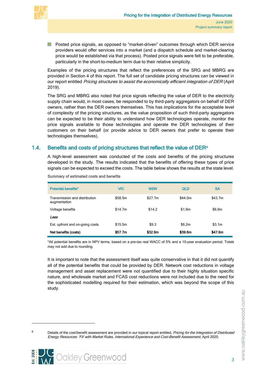

**P** Posted price signals, as opposed to "market-driven" outcomes through which DER service providers would offer services into a market (and a dispatch schedule and market-clearing price would be established via that process). Posted price signals were felt to be preferable, particularly in the short-to-medium term due to their relative simplicity.

Examples of the pricing structures that reflect the preferences of the SRG and MBRG are provided in Section 4 of this report. The full set of candidate pricing structures can be viewed in our report entitled Pricing structures to assist the economically efficient integration of DER (April 2019).

The SRG and MBRG also noted that price signals reflecting the value of DER to the electricity supply chain would, in most cases, be responded to by third-party aggregators on behalf of DER owners, rather than the DER owners themselves. This has implications for the acceptable level of complexity of the pricing structures, as the value proposition of such third-party aggregators can be expected to be their ability to understand how DER technologies operate, monitor the price signals available to those technologies and operate the DER technologies of their customers on their behalf (or provide advice to DER owners that prefer to operate their technologies themselves).

## 1.4. Benefits and costs of pricing structures that reflect the value of  $DER<sup>6</sup>$

<span id="page-7-0"></span>A high-level assessment was conducted of the costs and benefits of the pricing structures developed in the study. The results indicated that the benefits of offering these types of price signals can be expected to exceed the costs. The table below shows the results at the state level.

| <b>Potential benefits*</b>                    | <b>VIC</b> | <b>NSW</b> | QLD      | <b>SA</b> |
|-----------------------------------------------|------------|------------|----------|-----------|
| Transmission and distribution<br>augmentation | \$58.5m    | \$27.7m    | \$44.0m  | \$43.7m   |
| Voltage benefits                              | \$14.7m    | \$14.2     | \$1.9m   | \$6.9m    |
| Less                                          |            |            |          |           |
| Est. upfront and on-going costs               | \$15.5m    | \$9.3      | \$6.2m\$ | \$3.1m    |
| Net benefits (costs)                          | \$57.7m    | \$32.6m    | \$39.6m  | \$47.6m   |

Summary of estimated costs and benefits

\*All potential benefits are in NPV terms, based on a pre-tax real WACC of 5% and a 10-year evaluation period. Totals may not add due to rounding.

It is important to note that the assessment itself was quite conservative in that it did not quantify all of the potential benefits that could be provided by DER. Network cost reductions in voltage management and asset replacement were not quantified due to their highly situation specific nature, and wholesale market and FCAS cost reductions were not included due to the need for the sophisticated modelling required for their estimation, which was beyond the scope of this study.

<span id="page-7-1"></span><sup>6</sup> Details of the cost/benefit assessment are provided in our topical report entitled, Pricing for the Integration of Distributed Energy Resources: 'Fit' with Market Rules, International Experience and Cost-Benefit Assessment, April 2020.

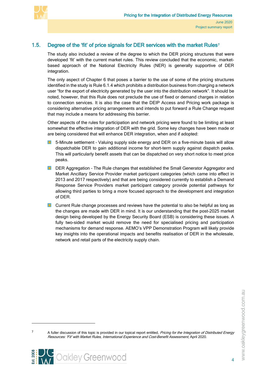

# 1.5. Degree of the 'fit' of price signals for DER services with the market Rules<sup>[7](#page-8-1)</sup>

<span id="page-8-0"></span>The study also included a review of the degree to which the DER pricing structures that were developed 'fit' with the current market rules. This review concluded that the economic, marketbased approach of the National Electricity Rules (NER) is generally supportive of DER integration.

The only aspect of Chapter 6 that poses a barrier to the use of some of the pricing structures identified in the study is Rule 6.1.4 which prohibits a distribution business from charging a network user "for the export of electricity generated by the user into the distribution network". It should be noted, however, that this Rule does not preclude the use of fixed or demand charges in relation to connection services. It is also the case that the DEIP Access and Pricing work package is considering alternative pricing arrangements and intends to put forward a Rule Change request that may include a means for addressing this barrier.

Other aspects of the rules for participation and network pricing were found to be limiting at least somewhat the effective integration of DER with the grid. Some key changes have been made or are being considered that will enhance DER integration, when and if adopted:

- 5-Minute settlement Valuing supply side energy and DER on a five-minute basis will allow dispatchable DER to gain additional income for short-term supply against dispatch peaks. This will particularly benefit assets that can be dispatched on very short notice to meet price peaks.
- **DER Aggregation The Rule changes that established the Small Generator Aggregator and** Market Ancillary Service Provider market participant categories (which came into effect in 2013 and 2017 respectively) and that are being considered currently to establish a Demand Response Service Providers market participant category provide potential pathways for allowing third parties to bring a more focused approach to the development and integration of DER.
- **E** Current Rule change processes and reviews have the potential to also be helpful as long as the changes are made with DER in mind. It is our understanding that the post-2025 market design being developed by the Energy Security Board (ESB) is considering these issues. A fully two-sided market would remove the need for specialised pricing and participation mechanisms for demand response. AEMO's VPP Demonstration Program will likely provide key insights into the operational impacts and benefits realisation of DER in the wholesale, network and retail parts of the electricity supply chain.

<span id="page-8-1"></span><sup>&</sup>lt;sup>7</sup> A fuller discussion of this topic is provided in our topical report entitled, *Pricing for the Integration of Distributed Energy* Resources: 'Fit' with Market Rules, International Experience and Cost-Benefit Assessment, April 2020.

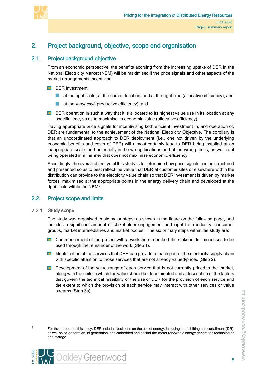



# <span id="page-9-0"></span>2. Project background, objective, scope and organisation

# 2.1. Project background objective

<span id="page-9-1"></span>From an economic perspective, the benefits accruing from the increasing uptake of DER in the National Electricity Market (NEM) will be maximised if the price signals and other aspects of the market arrangements incentivise:

- DER investment:
	- **at the right scale, at the correct location, and at the right time (allocative efficiency), and**
	- **at the** *least cost* (productive efficiency); and
- DER operation in such a way that it is allocated to its highest value use in its location at any specific time, so as to maximise its economic value (allocative efficiency).

Having appropriate price signals for incentivising both efficient investment in, and operation of, DER are fundamental to the achievement of the National Electricity Objective. The corollary is that an uncoordinated approach to DER deployment (i.e., one not driven by the underlying economic benefits and costs of DER) will almost certainly lead to DER being installed at an inappropriate scale, and potentially in the wrong locations and at the wrong times, as well as it being operated in a manner that does not maximise economic efficiency.

Accordingly, the overall objective of this study is to determine how price signals can be structured and presented so as to best reflect the value that DER at customer sites or elsewhere within the distribution can provide to the electricity value chain so that DER investment is driven by market forces, maximised at the appropriate points in the energy delivery chain and developed at the right scale within the NEM[8](#page-9-4).

# <span id="page-9-2"></span>2.2. Project scope and limits

2.2.1. Study scope

<span id="page-9-3"></span>The study was organised in six major steps, as shown in the figure on the following page, and includes a significant amount of stakeholder engagement and input from industry, consumer groups, market intermediaries and market bodies. The six primary steps within the study are:

- **D** Commencement of the project with a workshop to embed the stakeholder processes to be used through the remainder of the work (Step 1).
- $\Box$  Identification of the services that DER can provide to each part of the electricity supply chain with specific attention to those services that are not already valued/priced (Step 2).
- Development of the value range of each service that is not currently priced in the market, along with the units in which the value should be denominated and a description of the factors that govern the technical feasibility of the use of DER for the provision of each service and the extent to which the provision of each service may interact with other services or value streams (Step 3a).



<span id="page-9-4"></span><sup>&</sup>lt;sup>8</sup> For the purpose of this study, DER includes decisions on the use of energy, including load shifting and curtailment (DR), as well as co-generation, tri-generation, and embedded and behind-the-meter renewable energy generation technologies and storage.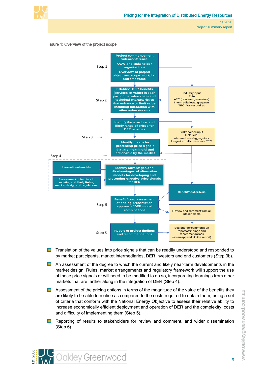

<span id="page-10-0"></span>

- **Translation of the values into price signals that can be readily understood and responded to** by market participants, market intermediaries, DER investors and end customers (Step 3b).
- **An assessment of the degree to which the current and likely near-term developments in the** market design, Rules, market arrangements and regulatory framework will support the use of these price signals or will need to be modified to do so, incorporating learnings from other markets that are farther along in the integration of DER (Step 4).
- **Assessment of the pricing options in terms of the magnitude of the value of the benefits they** are likely to be able to realise as compared to the costs required to obtain them, using a set of criteria that conform with the National Energy Objective to assess their relative ability to increase economically efficient deployment and operation of DER and the complexity, costs and difficulty of implementing them (Step 5).
- **Reporting of results to stakeholders for review and comment, and wider dissemination** (Step 6).

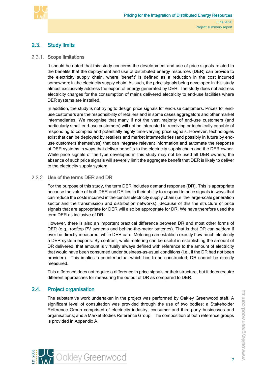

# <span id="page-11-0"></span>2.3. Study limits

#### 2.3.1. Scope limitations

<span id="page-11-1"></span>It should be noted that this study concerns the development and use of price signals related to the benefits that the deployment and use of distributed energy resources (DER) can provide to the electricity supply chain, where 'benefit' is defined as a reduction in the cost incurred somewhere in the electricity supply chain. As such, the price signals being developed in this study almost exclusively address the export of energy generated by DER. The study does not address electricity charges for the consumption of mains delivered electricity to end-use facilities where DER systems are installed.

In addition, the study is not trying to design price signals for end-use customers. Prices for enduse customers are the responsibility of retailers and in some cases aggregators and other market intermediaries. We recognise that many if not the vast majority of end-use customers (and particularly small end-use customers) will not be interested in receiving or technically capable of responding to complex and potentially highly time-varying price signals. However, technologies exist that can be deployed by retailers and market intermediaries (and possibly in future by enduse customers themselves) that can integrate relevant information and automate the response of DER systems in ways that deliver benefits to the electricity supply chain and the DER owner. While price signals of the type developed in this study may not be used all DER owners, the absence of such price signals will severely limit the aggregate benefit that DER is likely to deliver to the electricity supply system.

#### 2.3.2. Use of the terms DER and DR

<span id="page-11-2"></span>For the purpose of this study, the term DER includes demand response (DR). This is appropriate because the value of both DER and DR lies in their ability to respond to price signals in ways that can reduce the costs incurred in the central electricity supply chain (i.e. the large-scale generation sector and the transmission and distribution networks). Because of this the structure of price signals that are appropriate for DER will also be appropriate for DR. We have therefore used the term DER as inclusive of DR.

However, there is also an important practical difference between DR and most other forms of DER (e.g., rooftop PV systems and behind-the-meter batteries). That is that DR can seldom if ever be directly measured, while DER can. Metering can establish exactly how much electricity a DER system exports. By contrast, while metering can be useful in establishing the amount of DR delivered, that amount is virtually always defined with reference to the amount of electricity that would have been consumed under business-as-usual conditions (i.e., if the DR had not been provided). This implies a counterfactual which has to be constructed; DR cannot be directly measured.

This difference does not require a difference in price signals or their structure, but it does require different approaches for measuring the output of DR as compared to DER.

## 2.4. Project organisation

<span id="page-11-3"></span>The substantive work undertaken in the project was performed by Oakley Greenwood staff. A significant level of consultation was provided through the use of two bodies: a Stakeholder Reference Group comprised of electricity industry, consumer and third-party businesses and organisations; and a Market Bodies Reference Group. The composition of both reference groups is provided in Appendix A.



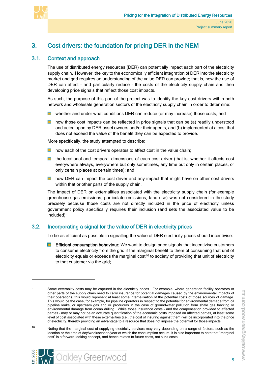

# <span id="page-12-0"></span>3. Cost drivers: the foundation for pricing DER in the NEM

## 3.1. Context and approach

<span id="page-12-1"></span>The use of distributed energy resources (DER) can potentially impact each part of the electricity supply chain. However, the key to the economically efficient integration of DER into the electricity market and grid requires an understanding of the value DER can provide; that is, how the use of DER can affect - and particularly reduce - the costs of the electricity supply chain and then developing price signals that reflect those cost impacts.

As such, the purpose of this part of the project was to identify the key cost drivers within both network and wholesale generation sectors of the electricity supply chain in order to determine:

- **N** whether and under what conditions DER can reduce (or may increase) those costs, and
- **h** how those cost impacts can be reflected in price signals that can be (a) readily understood and acted upon by DER asset owners and/or their agents, and (b) implemented at a cost that does not exceed the value of the benefit they can be expected to provide.

More specifically, the study attempted to describe:

- **how each of the cost drivers operates to affect cost in the value chain;**
- **E** the locational and temporal dimensions of each cost driver (that is, whether it affects cost everywhere always, everywhere but only sometimes, any time but only in certain places, or only certain places at certain times); and
- **h** how DER can impact the cost driver and any impact that might have on other cost drivers within that or other parts of the supply chain.

The impact of DER on externalities associated with the electricity supply chain (for example greenhouse gas emissions, particulate emissions, land use) was not considered in the study precisely because those costs are not directly included in the price of electricity unless government policy specifically requires their inclusion (and sets the associated value to be included)[9.](#page-12-3)

## 3.2. Incorporating a signal for the value of DER in electricity prices

**Cookley Greenwood** 

<span id="page-12-2"></span>To be as efficient as possible in signalling the value of DER electricity prices should incentivise:

 $\blacksquare$ Efficient consumption behaviour: We want to design price signals that incentivise customers to consume electricity from the grid if the marginal benefit to them of consuming that unit of electricity equals or exceeds the marginal  $cost^{10}$  $cost^{10}$  $cost^{10}$  to society of providing that unit of electricity to that customer via the grid;

8

<span id="page-12-3"></span>

<sup>&</sup>lt;sup>9</sup> Some externality costs may be captured in the electricity prices. For example, where generation facility operators or other parts of the supply chain need to carry insurance for potential damages caused by the environmental impacts of their operations, this would represent at least some internalisation of the potential costs of those sources of damage. This would be the case, for example, for pipeline operators in respect to the potential for environmental damage from oil pipeline leaks, or upstream gas and oil producers in the case of groundwater pollution from shale gas fracking or environmental damage from ocean drilling. While those insurance costs – and the compensation provided to affected parties – may or may not be an accurate quantification of the economic costs imposed on affected parties, at least some level of cost associated with these externalities (i.e., the cost of insuring against them) will be incorporated into the price of electricity, thereby providing an advantage to a resource that does not impose the potential for those impacts.

<span id="page-12-4"></span><sup>10</sup> Noting that the marginal cost of supplying electricity services may vary depending on a range of factors, such as the location or the time of day/week/season/year at which the consumption occurs. It is also important to note that "marginal cost" is a forward-looking concept, and hence relates to future costs, not sunk costs.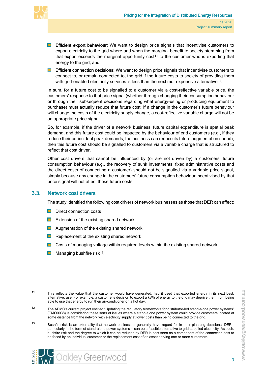

- **Efficient export behaviour:** We want to design price signals that incentivise customers to export electricity to the grid where and when the marginal benefit to society stemming from that export exceeds the marginal opportunity  $cost<sup>11</sup>$  $cost<sup>11</sup>$  $cost<sup>11</sup>$  to the customer who is exporting that energy to the grid; and
- **Efficient connection decisions:** We want to design price signals that incentivise customers to connect to, or remain connected to, the grid if the future costs to society of providing them with grid-enabled electricity services is less than the next mor expensive alternative<sup>12</sup>.

In sum, for a future cost to be signalled to a customer via a cost-reflective variable price, the customers' response to that price signal (whether through changing their consumption behaviour or through their subsequent decisions regarding what energy-using or producing equipment to purchase) must actually reduce that future cost. If a change in the customer's future behaviour will change the costs of the electricity supply change, a cost-reflective variable charge will not be an appropriate price signal.

So, for example, if the driver of a network business' future capital expenditure is spatial peak demand, and this future cost could be impacted by the behaviour of end customers (e.g., if they reduce their co-incident peak demands, the business can reduce its future augmentation spend), then this future cost should be signalled to customers via a variable charge that is structured to reflect that cost driver.

Other cost drivers that cannot be influenced by (or are not driven by) a customers' future consumption behaviour (e.g., the recovery of sunk investments, fixed administrative costs and the direct costs of connecting a customer) should not be signalled via a variable price signal, simply because any change in the customers' future consumption behaviour incentivised by that price signal will not affect those future costs.

## 3.3. Network cost drivers

<span id="page-13-0"></span>The study identified the following cost drivers of network businesses as those that DER can affect:

- Direct connection costs
- **EXTER** Extension of the existing shared network
- $\Box$  Augmentation of the existing shared network
- **Replacement of the existing shared network**
- **Costs of managing voltage within required levels within the existing shared network**
- **Managing bushfire risk**<sup>[13](#page-13-3)</sup>.



<span id="page-13-1"></span><sup>11</sup> This reflects the value that the customer would have generated, had it used that exported energy in its next best, alternative, use. For example, a customer's decision to export a kWh of energy to the grid may deprive them from being able to use that energy to run their air-conditioner on a hot day.

<span id="page-13-2"></span><sup>12</sup> The AEMC's current project entitled "Updating the regulatory frameworks for distributor-led stand-alone power systems" (EMO0038) is considering these sorts of issues where a stand-alone power system could provide customers located at some distance from the network with electricity supply at lower costs than being connected to the grid.

<span id="page-13-3"></span><sup>13</sup> Bushfire risk is an externality that network businesses generally have regard for in their planning decisions. DER particularly in the form of stand-alone power systems -- can be a feasible alternative to grid-supplied electricity. As such, bushfire risk and the degree to which it can be reduced by DER is best seen as a component of the connection cost to be faced by an individual customer or the replacement cost of an asset serving one or more customers.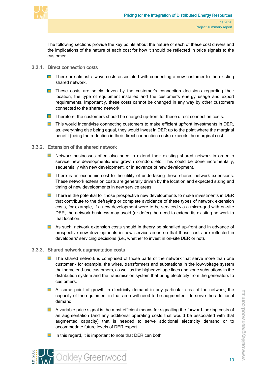

The following sections provide the key points about the nature of each of these cost drivers and the implications of the nature of each cost for how it should be reflected in price signals to the customer.

- <span id="page-14-0"></span>3.3.1. Direct connection costs
	- **T** There are almost always costs associated with connecting a new customer to the existing shared network.
	- **These costs are solely driven by the customer's connection decisions regarding their** location, the type of equipment installed and the customer's energy usage and export requirements. Importantly, these costs cannot be changed in any way by other customers connected to the shared network.
	- **T** Therefore, the customers should be charged up-front for these direct connection costs.
	- **This would incentivise connecting customers to make efficient upfront investments in DER,** as, everything else being equal, they would invest in DER up to the point where the marginal benefit (being the reduction in their direct connection costs) exceeds the marginal cost.

#### 3.3.2. Extension of the shared network

- <span id="page-14-1"></span>**Network businesses often also need to extend their existing shared network in order to** service new developments/new growth corridors etc. This could be done incrementally, sequentially with new development, or in advance of new development.
- **There is an economic cost to the utility of undertaking these shared network extensions.** These network extension costs are generally driven by the location and expected sizing and timing of new developments in new service areas.
- **There is the potential for those prospective new developments to make investments in DER** that contribute to the defraying or complete avoidance of these types of network extension costs, for example, if a new development were to be serviced via a micro-grid with on-site DER, the network business may avoid (or defer) the need to extend its existing network to that location.
- **As such, network extension costs should in theory be signalled up-front and in advance of** prospective new developments in new service areas so that those costs are reflected in developers' servicing decisions (i.e., whether to invest in on-site DER or not).

#### 3.3.3. Shared network augmentation costs

- <span id="page-14-2"></span>**The shared network is comprised of those parts of the network that serve more than one** customer – for example, the wires, transformers and substations in the low-voltage system that serve end-use customers, as well as the higher voltage lines and zone substations in the distribution system and the transmission system that bring electricity from the generators to customers.
- At some point of growth in electricity demand in any particular area of the network, the capacity of the equipment in that area will need to be augmented – to serve the additional demand.
- **A** variable price signal is the most efficient means for signalling the forward-looking costs of an augmentation (and any additional operating costs that would be associated with that augmented capacity) that is needed to serve additional electricity demand or to accommodate future levels of DER export.
- In this regard, it is important to note that DER can both: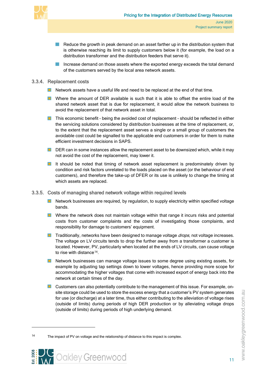

- **College** Reduce the growth in peak demand on an asset farther up in the distribution system that is otherwise reaching its limit to supply customers below it (for example, the load on a distribution transformer and the distribution feeders that serve it).
- Increase demand on those assets where the exported energy exceeds the total demand of the customers served by the local area network assets.

#### 3.3.4. Replacement costs

- <span id="page-15-0"></span>Network assets have a useful life and need to be replaced at the end of that time.
- **N** Where the amount of DER available is such that it is able to offset the entire load of the shared network asset that is due for replacement, it would allow the network business to avoid the replacement of that network asset in total.
- **This economic benefit being the avoided cost of replacement should be reflected in either** the servicing solutions considered by distribution businesses at the time of replacement, or, to the extent that the replacement asset serves a single or a small group of customers the avoidable cost could be signalled to the applicable end customers in order for them to make efficient investment decisions in SAPS.
- DER can in some instances allow the replacement asset to be downsized which, while it may not avoid the cost of the replacement, may lower it.
- It should be noted that timing of network asset replacement is predominately driven by condition and risk factors unrelated to the loads placed on the asset (or the behaviour of end customers), and therefore the take-up of DFER or its use is unlikely to change the timing at which assets are replaced.

#### 3.3.5. Costs of managing shared network voltage within required levels

- <span id="page-15-1"></span> $\blacksquare$  Network businesses are required, by requiation, to supply electricity within specified voltage bands.
- **N** Where the network does not maintain voltage within that range it incurs risks and potential costs from customer complaints and the costs of investigating those complaints, and responsibility for damage to customers' equipment.
- **Traditionally, networks have been designed to manage voltage** *drops***, not voltage increases.** The voltage on LV circuits tends to drop the further away from a transformer a customer is located. However, PV, particularly when located at the ends of LV circuits, can cause voltage to rise with distance<sup>[14](#page-15-2)</sup>.
- **Network businesses can manage voltage issues to some degree using existing assets, for** example by adjusting tap settings down to lower voltages, hence providing more scope for accommodating the higher voltages that come with increased export of energy back into the network at certain times of the day.
- **Lack Customers can also potentially contribute to the management of this issue. For example, on**site storage could be used to store the excess energy that a customer's PV system generates for use (or discharge) at a later time, thus either contributing to the alleviation of voltage rises (outside of limits) during periods of high DER production or by alleviating voltage drops (outside of limits) during periods of high underlying demand.

<span id="page-15-2"></span><sup>14</sup> The impact of PV on voltage and the relationship of distance to this impact is complex.

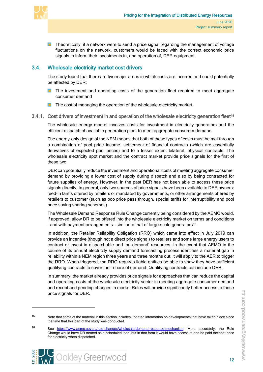

**Theoretically, if a network were to send a price signal regarding the management of voltage** fluctuations on the network, customers would be faced with the correct economic price signals to inform their investments in, and operation of, DER equipment.

# 3.4. Wholesale electricity market cost drivers

<span id="page-16-0"></span>The study found that there are two major areas in which costs are incurred and could potentially be affected by DER:

- **The investment and operating costs of the generation fleet required to meet aggregate** consumer demand
- <span id="page-16-1"></span> $\blacksquare$  The cost of managing the operation of the wholesale electricity market.
- 3.4.1. Cost drivers of investment in and operation of the wholesale electricity generation fleet<sup>[15](#page-16-2)</sup>

The wholesale energy market involves costs for investment in electricity generators and the efficient dispatch of available generation plant to meet aggregate consumer demand.

The energy-only design of the NEM means that both of these types of costs must be met through a combination of pool price income, settlement of financial contracts (which are essentially derivatives of expected pool prices) and to a lesser extent bilateral, physical contracts. The wholesale electricity spot market and the contract market provide price signals for the first of these two.

DER can potentially reduce the investment and operational costs of meeting aggregate consumer demand by providing a lower cost of supply during dispatch and also by being contracted for future supplies of energy. However, in the past DER has not been able to access these price signals directly. In general, only two sources of price signals have been available to DER owners: feed-in tariffs offered by retailers or mandated by governments, or other arrangements offered by retailers to customer (such as poo price pass through, special tariffs for interruptibility and pool price saving sharing schemes).

The Wholesale Demand Response Rule Change currently being considered by the AEMC would, if approved, allow DR to be offered into the wholesale electricity market on terms and conditions - and with payment arrangements - similar to that of large-scale generators<sup>[16](#page-16-3)</sup>.

In addition, the Retailer Reliability Obligation (RRO) which came into effect in July 2019 can provide an incentive (though not a direct price signal) to retailers and some large energy users to contract or invest in dispatchable and 'on demand' resources. In the event that AEMO in the course of its annual electricity supply demand forecasting process identifies a material gap in reliability within a NEM region three years and three months out, it will apply to the AER to trigger the RRO. When triggered, the RRO requires liable entities be able to show they have sufficient qualifying contracts to cover their share of demand. Qualifying contracts can include DER.

In summary, the market already provides price signals for approaches that can reduce the capital and operating costs of the wholesale electricity sector in meeting aggregate consumer demand and recent and pending changes in market Rules will provide significantly better access to those price signals for DER.

<span id="page-16-2"></span><sup>15</sup> Note that some of the material in this section includes updated information on developments that have taken place since the time that this part of the study was conducted.

<span id="page-16-3"></span><sup>16</sup> See [https://www.aemc.gov.au/rule-changes/wholesale-demand-response-mechanism.](https://www.aemc.gov.au/rule-changes/wholesale-demand-response-mechanism) More accurately, the Rule Change would have DR treated as a scheduled load, but in that form it would have access to and be paid the spot price for electricity when dispatched.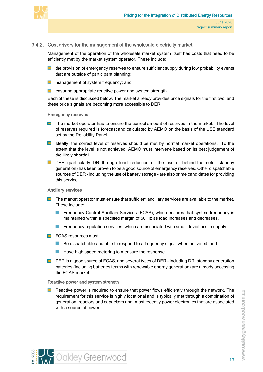

#### 3.4.2. Cost drivers for the management of the wholesale electricity market

<span id="page-17-0"></span>Management of the operation of the wholesale market system itself has costs that need to be efficiently met by the market system operator. These include:

- the provision of emergency reserves to ensure sufficient supply during low probability events **COL** that are outside of participant planning;
- **n** management of system frequency; and
- **E** ensuring appropriate reactive power and system strength.

Each of these is discussed below. The market already provides price signals for the first two, and these price signals are becoming more accessible to DER.

#### Emergency reserves

- **The market operator has to ensure the correct amount of reserves in the market.** The level of reserves required is forecast and calculated by AEMO on the basis of the USE standard set by the Reliability Panel.
- **ID** Ideally, the correct level of reserves should be met by normal market operations. To the extent that the level is not achieved, AEMO must intervene based on its best judgement of the likely shortfall.
- DER (particularly DR through load reduction or the use of behind-the-meter standby generation) has been proven to be a good source of emergency reserves. Other dispatchable sources of DER – including the use of battery storage – are also prime candidates for providing this service.

#### Ancillary services

- **The market operator must ensure that sufficient ancillary services are available to the market.** These include:
	- $\sim 100$ Frequency Control Ancillary Services (FCAS), which ensures that system frequency is maintained within a specified margin of 50 Hz as load increases and decreases.
	- **Figurency regulation services, which are associated with small deviations in supply.**
- **FCAS resources must:** 
	- **Be dispatchable and able to respond to a frequency signal when activated, and**
	- **Have high speed metering to measure the response.**
- DER is a good source of FCAS, and several types of DER including DR, standby generation batteries (including batteries teams with renewable energy generation) are already accessing the FCAS market.

#### Reactive power and system strength

**Reactive power is required to ensure that power flows efficiently through the network. The** requirement for this service is highly locational and is typically met through a combination of generation, reactors and capacitors and, most recently power electronics that are associated with a source of power.



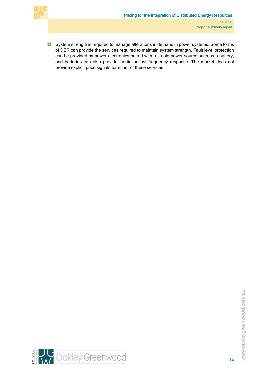

 $\blacksquare$ System strength is required to manage alterations in demand in power systems. Some forms of DER can provide the services required to maintain system strength. Fault level protection can be provided by power electronics paired with a stable power source such as a battery, and batteries can also provide inertia or fast frequency response. The market does not provide explicit price signals for either of these services.

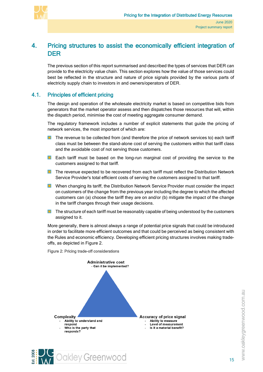

# <span id="page-19-4"></span><span id="page-19-0"></span>4. Pricing structures to assist the economically efficient integration of DER

The previous section of this report summarised and described the types of services that DER can provide to the electricity value chain. This section explores how the value of those services could best be reflected in the structure and nature of price signals provided by the various parts of electricity supply chain to investors in and owners/operators of DER.

# 4.1. Principles of efficient pricing

<span id="page-19-1"></span>The design and operation of the wholesale electricity market is based on competitive bids from generators that the market operator assess and then dispatches those resources that will, within the dispatch period, minimise the cost of meeting aggregate consumer demand.

The regulatory framework includes a number of explicit statements that guide the pricing of network services, the most important of which are:

- The revenue to be collected from (and therefore the price of network services to) each tariff class must be between the stand-alone cost of serving the customers within that tariff class and the avoidable cost of not serving those customers.
- **Each tariff must be based on the long-run marginal cost of providing the service to the** customers assigned to that tariff.
- **The revenue expected to be recovered from each tariff must reflect the Distribution Network** Service Provider's total efficient costs of serving the customers assigned to that tariff.
- **Now When changing its tariff, the Distribution Network Service Provider must consider the impact** on customers of the change from the previous year including the degree to which the affected customers can (a) choose the tariff they are on and/or (b) mitigate the impact of the change in the tariff changes through their usage decisions.
- **The structure of each tariff must be reasonably capable of being understood by the customers** assigned to it.

More generally, there is almost always a range of potential price signals that could be introduced in order to facilitate more efficient outcomes and that could be perceived as being consistent with the Rules and economic efficiency. Developing efficient pricing structures involves making tradeoffs, as depicted in [Figure 2.](#page-19-3)



<span id="page-19-3"></span><span id="page-19-2"></span>Figure 2: Pricing trade-off considerations

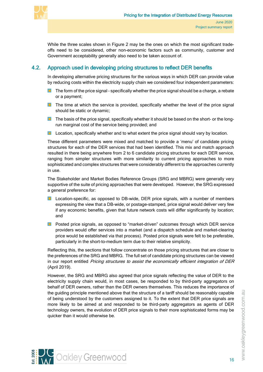

While the three scales shown in [Figure 2](#page-19-3) may be the ones on which the most significant tradeoffs need to be considered, other non-economic factors such as community, customer and Government acceptability generally also need to be taken account of.

# 4.2. Approach used in developing pricing structures to reflect DER benefits

<span id="page-20-0"></span>In developing alternative pricing structures for the various ways in which DER can provide value by reducing costs within the electricity supply chain we considered four independent parameters:

- **The form of the price signal specifically whether the price signal should be a charge, a rebate** or a payment;
- **The time at which the service is provided, specifically whether the level of the price signal** should be static or dynamic;
- **The basis of the price signal, specifically whether it should be based on the short- or the long**run marginal cost of the service being provided; and
- $\blacksquare$ Location, specifically whether and to what extent the price signal should vary by location.

These different parameters were mixed and matched to provide a 'menu' of candidate pricing structures for each of the DER services that had been identified. This mix and match approach resulted in there being anywhere from 2 to 6 candidate pricing structures for each DER service, ranging from simpler structures with more similarity to current pricing approaches to more sophisticated and complex structures that were considerably different to the approaches currently in use.

The Stakeholder and Market Bodies Reference Groups (SRG and MBRG) were generally very supportive of the suite of pricing approaches that were developed. However, the SRG expressed a general preference for:

- **L** Location-specific, as opposed to DB-wide, DER price signals, with a number of members expressing the view that a DB-wide, or postage-stamped, price signal would deliver very few if any economic benefits, given that future network costs will differ significantly by location; and
- **Posted price signals, as opposed to "market-driven" outcomes through which DER service** providers would offer services into a market (and a dispatch schedule and market-clearing price would be established via that process). Posted price signals were felt to be preferable, particularly in the short-to-medium term due to their relative simplicity.

Reflecting this, the sections that follow concentrate on those pricing structures that are closer to the preferences of the SRG and MBRG. The full set of candidate pricing structures can be viewed in our report entitled Pricing structures to assist the economically efficient integration of DER (April 2019).

However, the SRG and MBRG also agreed that price signals reflecting the value of DER to the electricity supply chain would, in most cases, be responded to by third-party aggregators on behalf of DER owners, rather than the DER owners themselves. This reduces the importance of the guiding principle mentioned above that the structure of a tariff should be reasonably capable of being understood by the customers assigned to it. To the extent that DER price signals are more likely to be aimed at and responded to be third-party aggregators as agents of DER technology owners, the evolution of DER price signals to their more sophisticated forms may be quicker than it would otherwise be.



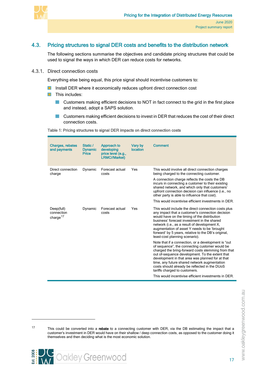

# 4.3. Pricing structures to signal DER costs and benefits to the distribution network

<span id="page-21-0"></span>The following sections summarise the objectives and candidate pricing structures that could be used to signal the ways in which DER can reduce costs for networks.

#### 4.3.1. Direct connection costs

<span id="page-21-1"></span>Everything else being equal, this price signal should incentivise customers to:

- **Install DER where it economically reduces upfront direct connection cost**
- $\blacksquare$  This includes:
	- **Customers making efficient decisions to NOT in fact connect to the grid in the first place** and instead, adopt a SAPS solution.
	- **Customers making efficient decisions to invest in DER that reduces the cost of their direct** connection costs.

#### <span id="page-21-2"></span>Table 1: Pricing structures to signal DER impacts on direct connection costs

| <b>Charges, rebates</b><br>and payments          | Static /<br><b>Dynamic</b><br><b>Price</b> | Approach to<br>developing<br>price level (e.g.,<br><b>LRMC//Market)</b> | Vary by<br>location | Comment                                                                                                                                                                                                                                                                                                                                                                                                                                                                                        |
|--------------------------------------------------|--------------------------------------------|-------------------------------------------------------------------------|---------------------|------------------------------------------------------------------------------------------------------------------------------------------------------------------------------------------------------------------------------------------------------------------------------------------------------------------------------------------------------------------------------------------------------------------------------------------------------------------------------------------------|
| Direct connection<br>charge                      | Dynamic                                    | Forecast actual<br>costs                                                | Yes                 | This would involve all direct connection charges<br>being charged to the connecting customer.<br>A connection charge reflects the costs the DB<br>incurs in connecting a customer to their existing<br>shared network, and which only that customers'<br>upfront connection decision can influence (i.e., no<br>other party is able to influence that cost).<br>This would incentivise efficient investments in DER.                                                                           |
| Deep(full)<br>connection<br>charge <sup>17</sup> | Dynamic                                    | Forecast actual<br>costs                                                | Yes                 | This would include the direct connection costs plus<br>any impact that a customer's connection decision<br>would have on the timing of the distribution<br>business' forecast investment in the shared<br>network (i.e., as a result of development X,<br>augmentation of asset Y needs to be 'brought<br>forward' by 5 years, relative to the DB's original,                                                                                                                                  |
|                                                  |                                            |                                                                         |                     | least-cost planning scenario).<br>Note that if a connection, or a development is "out<br>of sequence", the connecting customer would be<br>charged the bring-forward costs stemming from that<br>out of-sequence development. To the extent that<br>development in that area was planned for at that<br>time, any future shared network augmentation<br>costs should already be reflected in the DUoS<br>tariffs charged to customers.<br>This would incentivise efficient investments in DER. |

<span id="page-21-3"></span><sup>&</sup>lt;sup>17</sup> This could be converted into a rebate to a connecting customer with DER, via the DB estimating the impact that a customer's investment in DER would have on their shallow / deep connection costs, as opposed to the customer doing it themselves and then deciding what is the most economic solution.

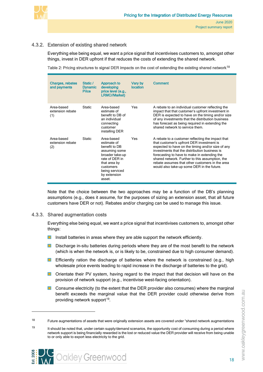

## 4.3.2. Extension of existing shared network

<span id="page-22-0"></span>Everything else being equal, we want a price signal that incentivises customers to, amongst other things, invest in DER upfront if that reduces the costs of extending the shared network.

<span id="page-22-2"></span>Table 2: Pricing structures to signal DER impacts on the cost of extending the existing shared network<sup>18</sup>

| Charges, rebates<br>and payments      | Static /<br><b>Dynamic</b><br>Price | Approach to<br>developing<br>price level (e.g.,<br><b>LRMC//Market)</b>                                                                                                   | Vary by<br>location | Comment                                                                                                                                                                                                                                                                                                                                                                                                  |
|---------------------------------------|-------------------------------------|---------------------------------------------------------------------------------------------------------------------------------------------------------------------------|---------------------|----------------------------------------------------------------------------------------------------------------------------------------------------------------------------------------------------------------------------------------------------------------------------------------------------------------------------------------------------------------------------------------------------------|
| Area-based<br>extension rebate<br>(1) | Static                              | Area-based<br>estimate of<br>benefit to DB of<br>an individual<br>connecting<br>customer<br>installing DER                                                                | Yes                 | A rebate to an individual customer reflecting the<br>impact that that customer's upfront investment in<br>DER is expected to have on the timing and/or size<br>of any investments that the distribution business<br>has forecast as being required in extending the<br>shared network to service them                                                                                                    |
| Area-based<br>extension rebate<br>(2) | <b>Static</b>                       | Area-based<br>estimate of<br>henefit to DB<br>assuming some<br>broader take-up<br>rate of DER in<br>that area by<br>customers<br>being serviced<br>by extension<br>asset. | Yes                 | A rebate to a customer reflecting the impact that<br>that customer's upfront DER investment is<br>expected to have on the timing and/or size of any<br>investments that the distribution business is<br>forecasting to have to make in extending the<br>shared network. Further to this assumption, the<br>rebate assumes that other customers in the area<br>would also take-up some DER in the future. |

Note that the choice between the two approaches may be a function of the DB's planning assumptions (e.g., does it assume, for the purposes of sizing an extension asset, that all future customers have DER or not). Rebates and/or charging can be used to manage this issue.

#### 4.3.3. Shared augmentation costs

<span id="page-22-1"></span>Everything else being equal, we want a price signal that incentivises customers to, amongst other things:

- **Install batteries in areas where they are able support the network efficiently.**
- **Discharge in-situ batteries during periods where they are of the most benefit to the network** (which is when the network is, or is likely to be, constrained due to high consumer demand).
- **Efficiently ration the discharge of batteries where the network is constrained (e.g., high** wholesale price events leading to rapid increase in the discharge of batteries to the grid).
- **D** Orientate their PV system, having regard to the impact that that decision will have on the provision of network support (e.g., incentivise west-facing orientation).
- **Consume electricity (to the extent that the DER provider also consumes) where the marginal** benefit exceeds the marginal value that the DER provider could otherwise derive from providing network support<sup>19</sup>.

<span id="page-22-4"></span><span id="page-22-3"></span><sup>19</sup> It should be noted that, under certain supply/demand scenarios, the opportunity cost of consuming during a period where network support is being financially rewarded is the lost or reduced value the DER provider will receive from being unable to or only able to export less electricity to the grid.



<sup>&</sup>lt;sup>18</sup> Future augmentations of assets that were originally extension assets are covered under "shared network augmentations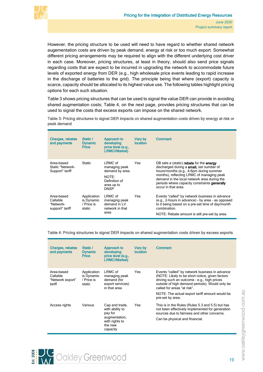

However, the pricing structure to be used will need to have regard to whether shared network augementation costs are driven by peak demand, energy at risk or too much export. Somewhat different pricing arrangements may be required to align with the different underlying cost driver in each case. Moreover, pricing structures, at least in theory, should also send price signals regarding costs that are expect to be incurred in upgrading the network to accommodate future levels of exported energy from DER (e.g., high wholesale price events leading to rapid increase in the discharge of batteries to the grid). The principle being that where (export) capacity is scarce, capacity should be allocated to its highest value use. The following tables highlight pricing options for each such situation.

[Table 3](#page-23-2) shows pricing structures that can be used to signal the value DER can provide in avoiding shared augmentation costs; [Table 4,](#page-23-3) on the next page, provides pricing structures that can be used to signal the costs that excess exports can impose on the shared network.

<span id="page-23-2"></span><span id="page-23-0"></span>Table 3: Pricing structures to signal DER impacts on shared augmentation costs driven by energy at risk or peak demand

| <b>Charges, rebates</b><br>and payments                | Static /<br><b>Dynamic</b><br><b>Price</b>        | Approach to<br>developing<br>price level (e.g.,<br><b>LRMC//Market)</b>                           | Vary by<br><b>location</b> | <b>Comment</b>                                                                                                                                                                                                                                                                                     |
|--------------------------------------------------------|---------------------------------------------------|---------------------------------------------------------------------------------------------------|----------------------------|----------------------------------------------------------------------------------------------------------------------------------------------------------------------------------------------------------------------------------------------------------------------------------------------------|
| Area-based<br>Static "Network-<br>Support" tariff      | <b>Static</b>                                     | LRMC of<br>managing peak<br>demand by area<br>NOTE:<br>Definition of<br>area up to<br><b>DNSP</b> | Yes                        | DB sets a (static) rebate for the energy<br>discharged during a small, set number of<br>hours/months (e.g., 4-6pm during summer<br>months), reflecting LRMC of managing peak<br>demand in the local network area during the<br>periods where capacity constraints generally<br>occur in that area. |
| Area-based<br>Callable<br>"Network-<br>support" tariff | Application<br>is Dynamic<br>/ Price is<br>static | LRMC of<br>managing peak<br>demand in IV<br>network in that<br>area                               | Yes.                       | Events "called" by network business in advance<br>(e.g., 2-hours in advance) - by area - as opposed<br>to it being based on a pre-set time of day/month<br>combination.<br>NOTE: Rebate amount is still pre-set by area.                                                                           |

<span id="page-23-3"></span><span id="page-23-1"></span>Table 4: Pricing structures to signal DER impacts on shared augmentation costs driven by excess exports

| <b>Charges, rebates</b><br>and payments              | Static /<br><b>Dynamic</b><br><b>Price</b>        | Approach to<br>developing<br>price level (e.g.,<br><b>LRMC//Market)</b>                                | Vary by<br><b>location</b> | <b>Comment</b>                                                                                                                                                                                                                                                                                          |
|------------------------------------------------------|---------------------------------------------------|--------------------------------------------------------------------------------------------------------|----------------------------|---------------------------------------------------------------------------------------------------------------------------------------------------------------------------------------------------------------------------------------------------------------------------------------------------------|
| Area-based<br>Callable<br>"Network export"<br>tariff | Application<br>is Dynamic<br>/ Price is<br>static | LRMC of<br>managing peak<br>demand (for<br>export services)<br>in that area                            | <b>Yes</b>                 | Events "called" by network business in advance<br>(NOTE: Likely to be short notice, given factors<br>driving such an outcome - e.g., high prices<br>outside of high demand periods). Would only be<br>called for areas "at risk".<br>NOTE: The actual export tariff amount would be<br>pre-set by area. |
| Access rights                                        | Various                                           | Cap and trade,<br>with ability to<br>pay for<br>augmentation,<br>with rights to<br>the new<br>capacity | Yes                        | This is in the Rules (Rules 5.3 and 5.5) but has<br>not been effectively implemented for generation<br>sources due to fairness and other concerns.<br>Can be physical and financial.                                                                                                                    |

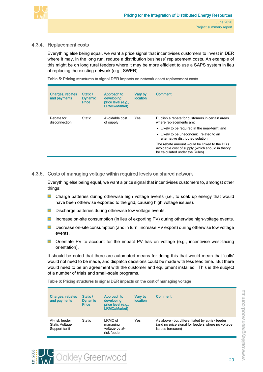

## 4.3.4. Replacement costs

<span id="page-24-0"></span>Everything else being equal, we want a price signal that incentivises customers to invest in DER where it may, in the long run, reduce a distribution business' replacement costs. An example of this might be on long rural feeders where it may be more efficient to use a SAPS system in lieu of replacing the existing network (e.g., SWER).

<span id="page-24-2"></span>Table 5: Pricing structures to signal DER impacts on network asset replacement costs

| <b>Charges, rebates</b><br>and payments | Static /<br><b>Dynamic</b><br><b>Price</b> | Approach to<br>developing<br>price level (e.g.,<br><b>LRMC//Market)</b> | Vary by<br>location | <b>Comment</b>                                                                                                                      |
|-----------------------------------------|--------------------------------------------|-------------------------------------------------------------------------|---------------------|-------------------------------------------------------------------------------------------------------------------------------------|
| Rebate for<br>disconnection             | <b>Static</b>                              | Avoidable cost<br>of supply                                             | Yes                 | Publish a rebate for customers in certain areas<br>where replacements are:                                                          |
|                                         |                                            |                                                                         |                     | • Likely to be required in the near-term; and                                                                                       |
|                                         |                                            |                                                                         |                     | • Likely to be uneconomic, related to an<br>alternative distributed solution                                                        |
|                                         |                                            |                                                                         |                     | The rebate amount would be linked to the DB's<br>avoidable cost of supply (which should in theory<br>be calculated under the Rules) |

### 4.3.5. Costs of managing voltage within required levels on shared network

<span id="page-24-1"></span>Everything else being equal, we want a price signal that incentivises customers to, amongst other things:

- **D** Charge batteries during otherwise high voltage events (i.e., to soak up energy that would have been otherwise exported to the grid, causing high voltage issues).
- $\blacksquare$ Discharge batteries during otherwise low voltage events.
- **In** Increase on-site consumption (in lieu of exporting PV) during otherwise high-voltage events.
- **Decrease on-site consumption (and in turn, increase PV export) during otherwise low voltage** events.
- **D** Orientate PV to account for the impact PV has on voltage (e.g., incentivise west-facing orientation).

It should be noted that there are automated means for doing this that would mean that 'calls' would not need to be made, and dispatch decisions could be made with less lead time. But there would need to be an agreement with the customer and equipment installed. This is the subject of a number of trials and small-scale programs.

<span id="page-24-3"></span>Table 6: Pricing structures to signal DER impacts on the cost of managing voltage

**WOOKley Greenwood** 

| <b>Charges, rebates</b><br>and payments                   | Static /<br><b>Dynamic</b><br><b>Price</b> | Approach to<br>developing<br>price level (e.g.,<br><b>LRMC//Market)</b> | Varv bv<br><b>location</b> | <b>Comment</b>                                                                                                           |
|-----------------------------------------------------------|--------------------------------------------|-------------------------------------------------------------------------|----------------------------|--------------------------------------------------------------------------------------------------------------------------|
| At-risk feeder<br><b>Static Voltage</b><br>Support tariff | <b>Static</b>                              | LRMC of<br>managing<br>voltage by at-<br>risk feeder                    | Yes                        | As above - but differentiated by at-risk feeder<br>(and no price signal for feeders where no voltage<br>issues foreseen) |



20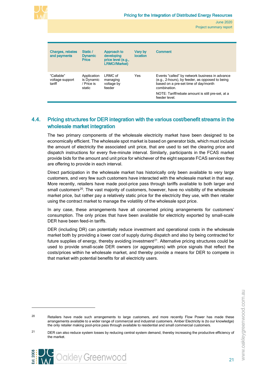

| Charges, rebates<br>and payments        | Static /<br><b>Dynamic</b><br><b>Price</b>        | Approach to<br>developing<br>price level (e.g.,<br><b>LRMC//Market)</b> | Vary by<br>location | <b>Comment</b>                                                                                                                                                                                                                  |
|-----------------------------------------|---------------------------------------------------|-------------------------------------------------------------------------|---------------------|---------------------------------------------------------------------------------------------------------------------------------------------------------------------------------------------------------------------------------|
| "Callable"<br>voltage support<br>tariff | Application<br>is Dynamic<br>/ Price is<br>static | LRMC of<br>managing<br>voltage by<br>feeder                             | Yes                 | Events "called" by network business in advance<br>(e.g., 2-hours), by feeder, as opposed to being<br>based on a pre-set time of day/month<br>combination.<br>NOTE: Tariff/rebate amount is still pre-set, at a<br>feeder level. |

# <span id="page-25-0"></span>4.4. Pricing structures for DER integration with the various cost/benefit streams in the wholesale market integration

The two primary components of the wholesale electricity market have been designed to be economically efficient. The wholesale spot market is based on generator bids, which must include the amount of electricity the associated unit price, that are used to set the clearing price and dispatch instructions for every five-minute interval. Similarly, participants in the FCAS market provide bids for the amount and unit price for whichever of the eight separate FCAS services they are offering to provide in each interval.

Direct participation in the wholesale market has historically only been available to very large customers, and very few such customers have interacted with the wholesale market in that way. More recently, retailers have made pool-price pass through tariffs available to both larger and small customers<sup>[20](#page-25-1)</sup>. The vast majority of customers, however, have no visibility of the wholesale market price, but rather pay a relatively static price for the electricity they use, with then retailer using the contract market to manage the volatility of the wholesale spot price.

In any case, these arrangements have all concerned pricing arrangements for customers' consumption. The only prices that have been available for electricity exported by small-scale DER have been feed-in tariffs.

DER (including DR) can potentially reduce investment and operational costs in the wholesale market both by providing a lower cost of supply during dispatch and also by being contracted for future supplies of energy, thereby avoiding investment<sup>21</sup>. Alternative pricing structures could be used to provide small-scale DER owners (or aggregators) with price signals that reflect the costs/prices within he wholesale market, and thereby provide a means for DER to compete in that market with potential benefits for all electricity users.



<span id="page-25-1"></span><sup>&</sup>lt;sup>20</sup> Retailers have made such arrangements to large customers, and more recently Flow Power has made these arrangements available to a wider range of commercial and industrial customers. Amber Electricity is (to our knowledge) the only retailer making pool-price pass through available to residential and small commercial customers.

<span id="page-25-2"></span><sup>&</sup>lt;sup>21</sup> DER can also reduce system losses by reducing central system demand, thereby increasing the productive efficiency of the market.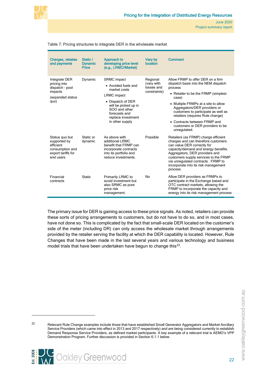

#### <span id="page-26-0"></span>Table 7: Pricing structures to integrate DER in the wholesale market

| <b>Charges, rebates</b><br>and payments                                                           | Static /<br><b>Dynamic</b><br><b>Price</b> | Approach to<br>developing price level<br>(e.g., LRMC//Market)                                                                                                                                           | Vary by<br>location                                  | <b>Comment</b>                                                                                                                                                                                                                                                                                                                                                              |
|---------------------------------------------------------------------------------------------------|--------------------------------------------|---------------------------------------------------------------------------------------------------------------------------------------------------------------------------------------------------------|------------------------------------------------------|-----------------------------------------------------------------------------------------------------------------------------------------------------------------------------------------------------------------------------------------------------------------------------------------------------------------------------------------------------------------------------|
| Integrate DER<br>pricing into<br>dispatch - pool<br>impacts<br>(expanded status<br>quo)           | Dynamic                                    | <b>SRMC</b> impact<br>• Avoided fuels and<br>market costs<br><b>LRMC</b> impact<br>• Dispatch of DER<br>will be picked up in<br>SOO and other<br>forecasts and<br>replace investment<br>in other supply | Regional<br>(vary with<br>losses and<br>constraints) | Allow FRMP to offer DER on a firm<br>dispatch basis into the NEM dispatch<br>process<br>• Retailer to be the FRMP (simplest)<br>case)<br>• Multiple FRMPs at a site to allow<br>Aggregators/DER providers or<br>customers to participate as well as<br>retailers (requires Rule change)<br>• Contracts between FRMP and<br>customers or DER providers to be<br>unregulated. |
| Status quo but<br>supported by<br>efficient<br>consumption and<br>export tariffs for<br>end users | Static or<br>dynamic                       | As above with<br>additional LRMC<br>benefit that FRMP can<br>incorporate contracts<br>into its portfolio and<br>reduce investments.                                                                     | Possible                                             | Retailers (as FRMP) charge efficient<br>charges and can therefore customers<br>can value DER correctly for<br>capacity/demand and energy benefits.<br>Aggregators, DER providers and<br>customers supply services to the FRMP<br>via unregulated contracts. FRMP to<br>incorporate into its risk management<br>process                                                      |
| Financial<br>contracts                                                                            | <b>Static</b>                              | Primarily LRMC to<br>avoid investment but<br>also SRMC as pure<br>price risk<br>management.                                                                                                             | No                                                   | Allow DER providers as FRMPs to<br>participate in the Exchange based and<br>OTC contract markets, allowing the<br>FRMP to incorporate the capacity and<br>energy into its risk management process                                                                                                                                                                           |

The primary issue for DER is gaining access to these price signals. As noted, retailers can provide these sorts of pricing arrangements to customers, but do not have to do so, and in most cases, have not done so. This is complicated by the fact that small-scale DER located on the customer's side of the meter (including DR) can only access the wholesale market through arrangements provided by the retailer serving the facility at which the DER capability is located. However, Rule Changes that have been made in the last several years and various technology and business model trials that have been undertaken have begun to change this<sup>22</sup>.

**AV** Oakley Greenwood

<span id="page-26-1"></span><sup>&</sup>lt;sup>22</sup> Relevant Rule Change examples include those that have established Small Generator Aggregators and Market Ancillary Service Providers (which came into effect in 2013 and 2017 respectively) and are being considered currently to establish Demand Response Service Providers, as defined market participants. A key example of a relevant trial is AEMO's VPP Demonstration Program. Further discussion is provided in Section 6.1.1 below.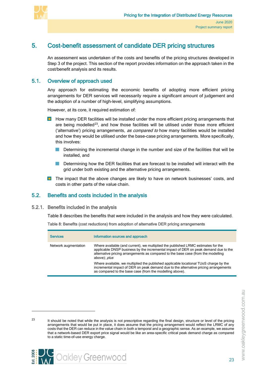

# 5. Cost-benefit assessment of candidate DER pricing structures

<span id="page-27-0"></span>An assessment was undertaken of the costs and benefits of the pricing structures developed in Step 3 of the project. This section of the report provides information on the approach taken in the cost/benefit analysis and its results.

## 5.1. Overview of approach used

<span id="page-27-1"></span>Any approach for estimating the economic benefits of adopting more efficient pricing arrangements for DER services will necessarily require a significant amount of judgement and the adoption of a number of high-level, simplifying assumptions.

However, at its core, it required estimation of:

- $\blacksquare$  How many DER facilities will be installed under the more efficient pricing arrangements that are being modelled<sup>23</sup>, and how those facilities will be utilised under those more efficient ('alternative') pricing arrangements, as compared to how many facilities would be installed and how they would be utilised under the base-case pricing arrangements. More specifically, this involves:
	- Determining the incremental change in the number and size of the facilities that will be installed, and
	- Determining how the DER facilities that are forecast to be installed will interact with the grid under both existing and the alternative pricing arrangements.
- <span id="page-27-2"></span>**The impact that the above changes are likely to have on network businesses' costs, and** costs in other parts of the value chain.

# 5.2. Benefits and costs included in the analysis

#### 5.2.1. Benefits included in the analysis

<span id="page-27-3"></span>[Table 8](#page-27-5) describes the benefits that were included in the analysis and how they were calculated.

<span id="page-27-5"></span><span id="page-27-4"></span>Table 8: Benefits (cost reductions) from adoption of alternative DER pricing arrangements

| <b>Services</b>      | Information sources and approach                                                                                                                                                                                                                                                     |
|----------------------|--------------------------------------------------------------------------------------------------------------------------------------------------------------------------------------------------------------------------------------------------------------------------------------|
| Network augmentation | Where available (and current), we multiplied the published LRMC estimates for the<br>applicable DNSP business by the incremental impact of DER on peak demand due to the<br>alternative pricing arrangements as compared to the base case (from the modelling<br>above); <i>plus</i> |
|                      | Where available, we multiplied the published applicable locational TUoS charge by the<br>incremental impact of DER on peak demand due to the alternative pricing arrangements<br>as compared to the base case (from the modelling above).                                            |



<span id="page-27-6"></span><sup>&</sup>lt;sup>23</sup> It should be noted that while the analysis is not prescriptive regarding the final design, structure or level of the pricing arrangements that would be put in place, it does assume that the pricing arrangement would reflect the LRMC of any costs that the DER can reduce in the value chain in both a temporal and a geographic sense. As an example, we assume that a network-based DER export price signal would be like an area-specific critical peak demand charge as compared to a static time-of-use energy charge.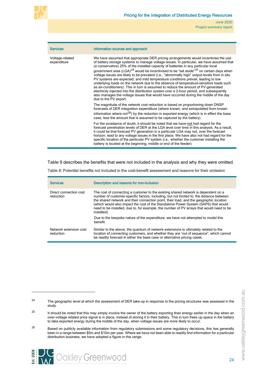

| <b>Services</b>                | Information sources and approach                                                                                                                                                                                                                                                                                                                                                                                                                                                                                                                                                                                                                                                                                                                                                                                                                                                                                                                                            |
|--------------------------------|-----------------------------------------------------------------------------------------------------------------------------------------------------------------------------------------------------------------------------------------------------------------------------------------------------------------------------------------------------------------------------------------------------------------------------------------------------------------------------------------------------------------------------------------------------------------------------------------------------------------------------------------------------------------------------------------------------------------------------------------------------------------------------------------------------------------------------------------------------------------------------------------------------------------------------------------------------------------------------|
| Voltage-related<br>expenditure | We have assumed that appropriate DER pricing arrangements would incentivise the use<br>of battery storage systems to manage voltage issues. In particular, we have assumed that<br>(a conservative) 25% of the installed capacity of batteries in any particular local<br>government area (LGA) <sup>24</sup> would be incentivised to be "set aside" <sup>25</sup> on certain days when<br>voltage issues are likely to be prevalent (i.e., "abnormally high" output levels from in situ<br>PV systems are expected, and mild temperature conditions prevail, leading to low<br>underlying loads on the network due to the absence of temperature-sensitive loads such<br>as air-conditioners). This in turn is assumed to reduce the amount of PV-generated<br>electricity injected into the distribution system over a 2-hour period, and subsequently<br>also manages the voltage issues that would have occurred during the middle of the day<br>due to the PV export. |
|                                | The magnitude of the network cost reduction is based on proportioning down DNSP<br>forecasts of DER integration expenditure (where known, and extrapolated from known<br>information where not <sup>26</sup> ) by the reduction in exported energy (which is in effect the base<br>case, less the amount that is assumed to be captured by the battery).                                                                                                                                                                                                                                                                                                                                                                                                                                                                                                                                                                                                                    |
|                                | For the avoidance of doubt, it should be noted that we have not had regard for the<br>forecast penetration levels of DER at the LGA level over time in this analysis. As a result,<br>it could be that forecast PV generation in a particular LGA may not, over the forecast<br>horizon, lead to any voltage issues in the first place. We have also not had regard for the<br>specific location of the particular PV system (i.e., whether the customer installing the<br>battery is located at the beginning, middle or end of the feeder).                                                                                                                                                                                                                                                                                                                                                                                                                               |

[Table 9](#page-28-1) describes the benefits that were not included in the analysis and why they were omitted.

| <b>Services</b>                     | <b>Description and reasons for non-inclusion</b>                                                                                                                                                                                                                                                                                                                                                                                                                          |  |
|-------------------------------------|---------------------------------------------------------------------------------------------------------------------------------------------------------------------------------------------------------------------------------------------------------------------------------------------------------------------------------------------------------------------------------------------------------------------------------------------------------------------------|--|
| Direct connection cost<br>reduction | The cost of connecting a customer to the existing shared network is dependent on a<br>number of customer-specific factors, including, but not limited to, the distance between<br>the shared network and their connection point, their load, and the geographic location<br>(which would also impact the cost of the Standalone Power System (SAPS) that would<br>need to be installed, due to, for example, the number of PV arrays that would need to be<br>installed). |  |
|                                     | Due to the bespoke nature of the expenditure, we have not attempted to model this<br>benefit.                                                                                                                                                                                                                                                                                                                                                                             |  |
| Network extension cost<br>reduction | Similar to the above, the quantum of network extensions is ultimately related to the<br>location of connecting customers, and whether they are "out of sequence", which cannot<br>be readily forecast in either the base case or alternative pricing cases.                                                                                                                                                                                                               |  |

<span id="page-28-1"></span><span id="page-28-0"></span>Table 9: Potential benefits not included in the cost-benefit assessment and reasons for their omission



<span id="page-28-2"></span><sup>&</sup>lt;sup>24</sup> The geographic level at which the assessment of DER take-up in response to the pricing structures was assessed in the study.

<span id="page-28-3"></span> $25$  It should be noted that this may simply involve the owner of the battery exporting their energy earlier in the day when an over-voltage related price signal is in place, instead of storing it in their battery. This in turn frees up space in the battery to take exported energy during the middle of the day, when voltage issues are more likely to occur.

<span id="page-28-4"></span> $26$  Based on publicly available information from regulatory submissions and some regulatory decisions, this has generally been in a range between \$5m and \$10m per year. Where we have not been able to readily find information for a particular distribution business, we have adopted a figure in this range.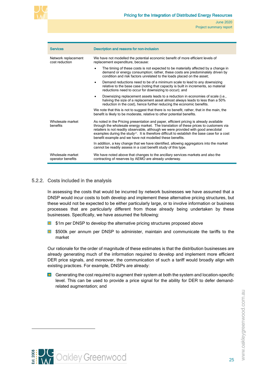

| <b>Services</b>                       | <b>Description and reasons for non-inclusion</b>                                                                                                                                                                                                                                                                                                                                                                                               |  |  |  |
|---------------------------------------|------------------------------------------------------------------------------------------------------------------------------------------------------------------------------------------------------------------------------------------------------------------------------------------------------------------------------------------------------------------------------------------------------------------------------------------------|--|--|--|
| Network replacement<br>cost reduction | We have not modelled the potential economic benefit of more efficient levels of<br>replacement expenditure, because:                                                                                                                                                                                                                                                                                                                           |  |  |  |
|                                       | The timing of these costs is not expected to be materially affected by a change in<br>$\bullet$<br>demand or energy consumption; rather, these costs are predominately driven by<br>condition and risk factors unrelated to the loads placed on the asset;                                                                                                                                                                                     |  |  |  |
|                                       | Demand reductions need to be of a minimum scale to lead to any downsizing<br>$\bullet$<br>relative to the base case (noting that capacity is built in increments, so material<br>reductions need to occur for downsizing to occur); and                                                                                                                                                                                                        |  |  |  |
|                                       | Downsizing replacement assets leads to a reduction in economies of scale (i.e.,<br>$\bullet$<br>halving the size of a replacement asset almost always leads to less than a 50%<br>reduction in the cost), hence further reducing the economic benefits.                                                                                                                                                                                        |  |  |  |
|                                       | We note that this is not to suggest that there is no benefit, rather, that in the main, the<br>benefit is likely to be moderate, relative to other potential benefits.                                                                                                                                                                                                                                                                         |  |  |  |
| Wholesale market<br>henefits          | As noted in the Pricing presentation and paper, efficient pricing is already available<br>through the wholesale energy market. The translation of these prices to customers via<br>retailers is not readily observable, although we were provided with good anecdotal<br>examples during the study <sup>27</sup> . It is therefore difficult to establish the base case for a cost<br>benefit example and we have not modelled these benefits. |  |  |  |
|                                       | In addition, a key change that we have identified, allowing aggregators into the market<br>cannot be readily assess in a cost benefit study of this type.                                                                                                                                                                                                                                                                                      |  |  |  |
| Wholesale market<br>operator benefits | We have noted above that changes to the ancillary services markets and also the<br>contracting of reserves by AEMO are already underway.                                                                                                                                                                                                                                                                                                       |  |  |  |

#### 5.2.2. Costs included in the analysis

<span id="page-29-0"></span>In assessing the costs that would be incurred by network businesses we have assumed that a DNSP would incur costs to both develop and implement these alternative pricing structures, but these would not be expected to be either particularly large, or to involve information or business processes that are particularly different from those already being undertaken by these businesses. Specifically, we have assumed the following:

- \$1m per DNSP to develop the alternative pricing structures proposed above **COL**
- **COL** \$500k per annum per DNSP to administer, maintain and communicate the tariffs to the market

Our rationale for the order of magnitude of these estimates is that the distribution businesses are already generating much of the information required to develop and implement more efficient DER price signals, and moreover, the communication of such a tariff would broadly align with existing practices. For example, DNSPs are already:

**D** Generating the cost required to augment their system at both the system and location-specific level. This can be used to provide a price signal for the ability for DER to defer demandrelated augmentation; and

<span id="page-29-1"></span>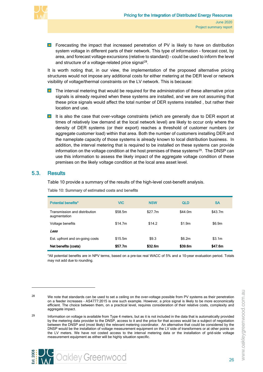

**E** Forecasting the impact that increased penetration of PV is likely to have on distribution system voltage in different parts of their network. This type of information - forecast cost, by area, and forecast voltage excursions (relative to standard) – could be used to inform the level and structure of a voltage-related price signal<sup>[28](#page-30-3)</sup>.

It is worth noting that, in our view, the implementation of the proposed alternative pricing structures would not impose any additional costs for either metering at the DER level or network visibility of voltage/thermal constraints on the LV network. This is because:

- **The interval metering that would be required for the administration of these alternative price** signals is already required when these systems are installed, and we are not assuming that these price signals would affect the total number of DER systems installed , but rather their location and use.
- **If** It is also the case that over-voltage constraints (which are generally due to DER export at times of relatively low demand at the local network level) are likely to occur only where the density of DER systems (or their export) reaches a threshold of customer numbers (or aggregate customer load) within that area. Both the number of customers installing DER and the nameplate capacity of those systems is already known to local distribution business. In addition, the interval metering that is required to be installed on these systems can provide information on the voltage condition at the host premises of these systems $29$ . The DNSP can use this information to assess the likely impact of the aggregate voltage condition of these premises on the likely voltage condition at the local area asset level.

## 5.3. Results

<span id="page-30-0"></span>[Table 10](#page-30-2) provide a summary of the results of the high-level cost-benefit analysis.

| <b>Potential benefits*</b>                    | <b>VIC</b> | <b>NSW</b> | <b>QLD</b> | <b>SA</b> |
|-----------------------------------------------|------------|------------|------------|-----------|
| Transmission and distribution<br>augmentation | \$58.5m    | \$27.7m    | \$44.0m    | \$43.7m   |
| Voltage benefits                              | \$14.7m    | \$14.2     | \$1.9m     | \$6.9m    |
| Less                                          |            |            |            |           |
| Est. upfront and on-going costs               | \$15.5m    | \$9.3      | \$6.2m     | \$3.1m    |
| Net benefits (costs)                          | \$57.7m    | \$32.6m    | \$39.6m    | \$47.6m   |

<span id="page-30-2"></span><span id="page-30-1"></span>Table 10: Summary of estimated costs and benefits

\*All potential benefits are in NPV terms, based on a pre-tax real WACC of 5% and a 10-year evaluation period. Totals may not add due to rounding.



<span id="page-30-3"></span>

<sup>&</sup>lt;sup>28</sup> We note that standards can be used to set a ceiling on the over-voltage possible from PV systems as their penetration on a feeder increases – AS4777:2015 is one such example. However, a price signal is likely to be more economically efficient. The choice between them, on a practical level, requires consideration of their relative costs, complexity and aggregate impact.

<span id="page-30-4"></span><sup>&</sup>lt;sup>29</sup> Information on voltage is available from Type 4 meters, but as it is not included in the data that is automatically provided by the metering data provider to the DNSP, access to it and the price for that access would be a subject of negotiation between the DNSP and (most likely) the relevant metering coordinator. An alternative that could be considered by the DNSP would be the installation of voltage measurement equipment on the LV side of transformers or at other points on the LV meters. We have not costed access to the interval metering data or the installation of grid-side voltage measurement equipment as either will be highly situation specific.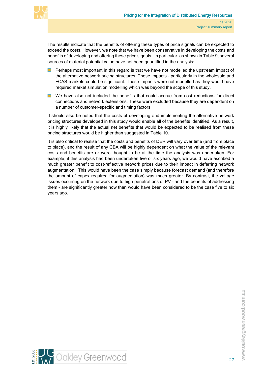

The results indicate that the benefits of offering these types of price signals can be expected to exceed the costs. However, we note that we have been conservative in developing the costs and benefits of developing and offering these price signals. In particular, as shown in [Table 9,](#page-28-1) several sources of material potential value have not been quantified in the analysis:

- **Perhaps most important in this regard is that we have not modelled the upstream impact of** the alternative network pricing structures. Those impacts – particularly in the wholesale and FCAS markets could be significant. These impacts were not modelled as they would have required market simulation modelling which was beyond the scope of this study.
- **Now** We have also not included the benefits that could accrue from cost reductions for direct connections and network extensions. These were excluded because they are dependent on a number of customer-specific and timing factors.

It should also be noted that the costs of developing and implementing the alternative network pricing structures developed in this study would enable all of the benefits identified. As a result, it is highly likely that the actual net benefits that would be expected to be realised from these pricing structures would be higher than suggested in [Table 10.](#page-30-2)

It is also critical to realise that the costs and benefits of DER will vary over time (and from place to place), and the result of any CBA will be highly dependent on what the value of the relevant costs and benefits are or were thought to be at the time the analysis was undertaken. For example, if this analysis had been undertaken five or six years ago, we would have ascribed a much greater benefit to cost-reflective network prices due to their impact in deferring network augmentation. This would have been the case simply because forecast demand (and therefore the amount of capex required for augmentation) was much greater. By contrast, the voltage issues occurring on the network due to high penetrations of PV – and the benefits of addressing them – are significantly greater now than would have been considered to be the case five to six years ago.

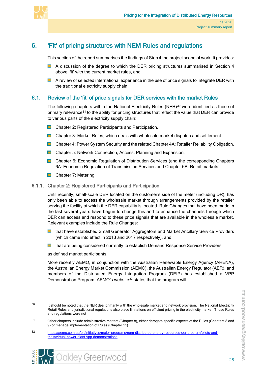

# 6. 'Fit' of pricing structures with NEM Rules and regulations

<span id="page-32-0"></span>This section of the report summarises the findings of Step 4 the project scope of work. It provides:

- **A** discussion of the degree to which the DER pricing structures summarised in Section [4](#page-19-4) above 'fit' with the current market rules, and
- **A** review of selected international experience in the use of price signals to integrate DER with the traditional electricity supply chain.

## 6.1. Review of the 'fit' of price signals for DER services with the market Rules

<span id="page-32-1"></span>The following chapters within the National Electricity Rules (NER) $30$  were identified as those of primary relevance<sup>[31](#page-32-4)</sup> to the ability for pricing structures that reflect the value that DER can provide to various parts of the electricity supply chain:

- **Chapter 2: Registered Participants and Participation.**
- **Chapter 3: Market Rules, which deals with wholesale market dispatch and settlement.**
- **D** Chapter 4: Power System Security and the related Chapter 4A: Retailer Reliability Obligation.
- **Chapter 5: Network Connection, Access, Planning and Expansion.**
- **D** Chapter 6: Economic Regulation of Distribution Services (and the corresponding Chapters 6A: Economic Regulation of Transmission Services and Chapter 6B: Retail markets).
- <span id="page-32-2"></span>**Chapter 7: Metering.**

#### 6.1.1. Chapter 2: Registered Participants and Participation

Until recently, small-scale DER located on the customer's side of the meter (including DR), has only been able to access the wholesale market through arrangements provided by the retailer serving the facility at which the DER capability is located. Rule Changes that have been made in the last several years have begun to change this and to enhance the channels through which DER can access and respond to these price signals that are available in the wholesale market. Relevant examples include the Rule Changes:

- **Lattary has that have established Small Generator Aggregators and Market Ancillary Service Providers** (which came into effect in 2013 and 2017 respectively), and
- **E** that are being considered currently to establish Demand Response Service Providers

as defined market participants.

More recently AEMO, in conjunction with the Australian Renewable Energy Agency (ARENA), the Australian Energy Market Commission (AEMC), the Australian Energy Regulator (AER), and members of the Distributed Energy Integration Program (DEIP) has established a VPP Demonstration Program. AEMO's website<sup>[32](#page-32-5)</sup> states that the program will:



<span id="page-32-3"></span><sup>&</sup>lt;sup>30</sup> It should be noted that the NER deal primarily with the wholesale market and network provision. The National Electricity Retail Rules and jurisdictional regulations also place limitations on efficient pricing in the electricity market. Those Rules and regulations were not

<span id="page-32-4"></span><sup>31</sup> Other chapters include administrative matters (Chapter 8), either derogate specific aspects of the Rules (Chapters 8 and 9) or manage implementation of Rules (Chapter 11).

<span id="page-32-5"></span><sup>32</sup> [https://aemo.com.au/en/initiatives/major-programs/nem-distributed-energy-resources-der-program/pilots-and](https://aemo.com.au/en/initiatives/major-programs/nem-distributed-energy-resources-der-program/pilots-and-trials/virtual-power-plant-vpp-demonstrations)[trials/virtual-power-plant-vpp-demonstrations](https://aemo.com.au/en/initiatives/major-programs/nem-distributed-energy-resources-der-program/pilots-and-trials/virtual-power-plant-vpp-demonstrations)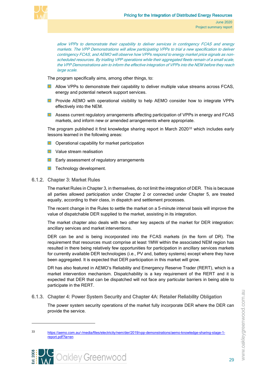

allow VPPs to demonstrate their capability to deliver services in contingency FCAS and energy markets. The VPP Demonstrations will allow participating VPPs to trial a new specification to deliver contingency FCAS, and AEMO will observe how VPPs respond to energy market price signals as nonscheduled resources. By trialling VPP operations while their aggregated fleets remain of a small scale, the VPP Demonstrations aim to inform the effective integration of VPPs into the NEM before they reach large scale.

The program specifically aims, among other things, to:

- **Allow VPPs to demonstrate their capability to deliver multiple value streams across FCAS,** energy and potential network support services.
- **Provide AEMO with operational visibility to help AEMO consider how to integrate VPPs** effectively into the NEM.
- **Assess current regulatory arrangements affecting participation of VPPs in energy and FCAS** markets, and inform new or amended arrangements where appropriate.

The program published it first knowledge sharing report in March 2020<sup>[33](#page-33-2)</sup> which includes early lessons learned in the following areas:

- $\Box$  Operational capability for market participation
- **L** Value stream realisation
- **Early assessment of regulatory arrangements**
- <span id="page-33-0"></span>**T** Technology development.

#### 6.1.2. Chapter 3: Market Rules

The market Rules in Chapter 3, in themselves, do not limit the integration of DER. This is because all parties allowed participation under Chapter 2 or connected under Chapter 5, are treated equally, according to their class, in dispatch and settlement processes.

The recent change in the Rules to settle the market on a 5-minute interval basis will improve the value of dispatchable DER supplied to the market, assisting in its integration.

The market chapter also deals with two other key aspects of the market for DER integration: ancillary services and market interventions.

DER can be and is being incorporated into the FCAS markets (in the form of DR). The requirement that resources must comprise at least 1MW within the associated NEM region has resulted in there being relatively few opportunities for participation in ancillary services markets for currently available DER technologies (i.e., PV and, battery systems) except where they have been aggregated. It is expected that DER participation in this market will grow.

DR has also featured in AEMO's Reliability and Emergency Reserve Trader (RERT), which is a market intervention mechanism. Dispatchability is a key requirement of the RERT and it is expected that DER that can be dispatched will not face any particular barriers in being able to participate in the RERT.

#### 6.1.3. Chapter 4: Power System Security and Chapter 4A: Retailer Reliability Obligation

<span id="page-33-1"></span>The power system security operations of the market fully incorporate DER where the DER can provide the service.

<span id="page-33-2"></span><sup>33</sup> [https://aemo.com.au/-/media/files/electricity/nem/der/2019/vpp-demonstrations/aemo-knowledge-sharing-stage-1](https://aemo.com.au/-/media/files/electricity/nem/der/2019/vpp-demonstrations/aemo-knowledge-sharing-stage-1-report.pdf?la=en) [report.pdf?la=en](https://aemo.com.au/-/media/files/electricity/nem/der/2019/vpp-demonstrations/aemo-knowledge-sharing-stage-1-report.pdf?la=en)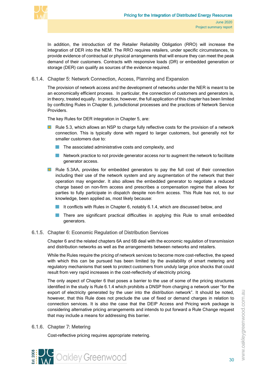

In addition, the introduction of the Retailer Reliability Obligation (RRO) will increase the integration of DER into the NEM. The RRO requires retailers, under specific circumstances, to provide evidence of contractual or physical arrangements that will ensure they can meet the peak demand of their customers. Contracts with responsive loads (DR) or embedded generation or storage (DER) can qualify as sources of the evidence required.

#### 6.1.4. Chapter 5: Network Connection, Access, Planning and Expansion

<span id="page-34-0"></span>The provision of network access and the development of networks under the NER is meant to be an economically efficient process. In particular, the connection of customers and generators is, in theory, treated equally. In practice, however, the full application of this chapter has been limited by conflicting Rules in Chapter 6, jurisdictional processes and the practices of Network Service Providers.

The key Rules for DER integration in Chapter 5, are:

- **Rule 5.3, which allows an NSP to charge fully reflective costs for the provision of a network** connection. This is typically done with regard to larger customers, but generally not for smaller customers due to:
	- The associated administrative costs and complexity, and
	- **Network practice to not provide generator access nor to augment the network to facilitate** generator access.
- **Rule 5.3AA, provides for embedded generators to pay the full cost of their connection** including their use of the network system and any augmentation of the network that their operation may engender. It also allows the embedded generator to negotiate a reduced charge based on non-firm access and prescribes a compensation regime that allows for parties to fully participate in dispatch despite non-firm access. This Rule has not, to our knowledge, been applied as, most likely because:
	- It conflicts with Rules in Chapter 6, notably 6.1.4, which are discussed below, and
	- **There are significant practical difficulties in applying this Rule to small embedded** generators.

#### 6.1.5. Chapter 6: Economic Regulation of Distribution Services

<span id="page-34-1"></span>Chapter 6 and the related chapters 6A and 6B deal with the economic regulation of transmission and distribution networks as well as the arrangements between networks and retailers.

While the Rules require the pricing of network services to become more cost-reflective, the speed with which this can be pursued has been limited by the availability of smart metering and regulatory mechanisms that seek to protect customers from unduly large price shocks that could result from very rapid increases in the cost-reflectivity of electricity pricing.

The only aspect of Chapter 6 that poses a barrier to the use of some of the pricing structures identified in the study is Rule 6.1.4 which prohibits a DNSP from charging a network user "for the export of electricity generated by the user into the distribution network". It should be noted, however, that this Rule does not preclude the use of fixed or demand charges in relation to connection services. It is also the case that the DEIP Access and Pricing work package is considering alternative pricing arrangements and intends to put forward a Rule Change request that may include a means for addressing this barrier.

#### 6.1.6. Chapter 7: Metering

<span id="page-34-2"></span>Cost-reflective pricing requires appropriate metering.

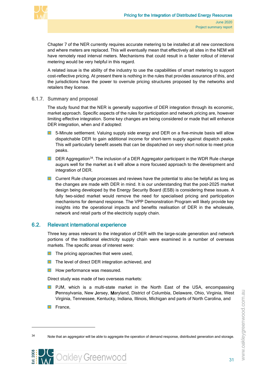

Chapter 7 of the NER currently requires accurate metering to be installed at all new connections and where meters are replaced. This will eventually mean that effectively all sites in the NEM will have remotely read interval meters. Mechanisms that could result in a faster rollout of interval metering would be very helpful in this regard.

A related issue is the ability of the industry to use the capabilities of smart metering to support cost-reflective pricing. At present there is nothing in the rules that provides assurance of this, and the jurisdictions have the power to overrule pricing structures proposed by the networks and retailers they license.

6.1.7. Summary and proposal

<span id="page-35-0"></span>The study found that the NER is generally supportive of DER integration through its economic, market approach. Specific aspects of the rules for participation and network pricing are, however limiting effective integration. Some key changes are being considered or made that will enhance DER integration, when and if adopted:

- $\blacksquare$ 5-Minute settlement. Valuing supply side energy and DER on a five-minute basis will allow dispatchable DER to gain additional income for short-term supply against dispatch peaks. This will particularly benefit assets that can be dispatched on very short notice to meet price peaks.
- **DER Aggregation**<sup>34</sup>. The inclusion of a DER Aggregator participant in the WDR Rule change augurs well for the market as it will allow a more focused approach to the development and integration of DER.
- **E** Current Rule change processes and reviews have the potential to also be helpful as long as the changes are made with DER in mind. It is our understanding that the post-2025 market design being developed by the Energy Security Board (ESB) is considering these issues. A fully two-sided market would remove the need for specialised pricing and participation mechanisms for demand response. The VPP Demonstration Program will likely provide key insights into the operational impacts and benefits realisation of DER in the wholesale, network and retail parts of the electricity supply chain.

#### 6.2. Relevant international experience

<span id="page-35-1"></span>Three key areas relevant to the integration of DER with the large-scale generation and network portions of the traditional electricity supply chain were examined in a number of overseas markets. The specific areas of interest were:

- $\blacksquare$  The pricing approaches that were used,
- **T** The level of direct DER integration achieved, and
- **How performance was measured.**

Direct study was made of two overseas markets:

- PJM, which is a multi-state market in the North East of the USA, encompassing  $\blacksquare$ Pennsylvania, New Jersey, Maryland, District of Columbia, Delaware, Ohio, Virginia, West Virginia, Tennessee, Kentucky, Indiana, Illinois, Michigan and parts of North Carolina, and
- **France**,

<span id="page-35-2"></span><sup>&</sup>lt;sup>34</sup> Note that an aggregator will be able to aggregate the operation of demand response, distributed generation and storage.



www.oakleygreenwood.com.au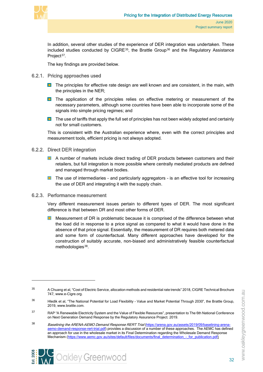

In addition, several other studies of the experience of DER integration was undertaken. These included studies conducted by CIGRE $35$ , the Brattle Group $36$  and the Regulatory Assistance Project<sup>37</sup>.

<span id="page-36-0"></span>The key findings are provided below.

- 6.2.1. Pricing approaches used
	- **The principles for effective rate design are well known and are consistent, in the main, with** the principles in the NER;
	- **The application of the principles relies on effective metering or measurement of the** necessary parameters, although some countries have been able to incorporate some of the signals into simple pricing regimes; and
	- $\Box$  The use of tariffs that apply the full set of principles has not been widely adopted and certainly not for small customers.

This is consistent with the Australian experience where, even with the correct principles and measurement tools, efficient pricing is not always adopted.

#### 6.2.2. Direct DER integration

- <span id="page-36-1"></span>**A** number of markets include direct trading of DER products between customers and their retailers, but full integration is more possible where centrally mediated products are defined and managed through market bodies.
- $\blacksquare$ The use of intermediaries – and particularly aggregators – is an effective tool for increasing the use of DER and integrating it with the supply chain.

#### 6.2.3. Performance measurement

<span id="page-36-2"></span>Very different measurement issues pertain to different types of DER. The most significant difference is that between DR and most other forms of DER.

Measurement of DR is problematic because it is comprised of the difference between what the load did in response to a price signal as compared to what it would have done in the absence of that price signal. Essentially, the measurement of DR requires both metered data and some form of counterfactual. Many different approaches have developed for the construction of suitably accurate, non-biased and administratively feasible counterfactual methodologies<sup>[38](#page-36-6)</sup>.



<span id="page-36-3"></span><sup>&</sup>lt;sup>35</sup> A Chuang et al, "Cost of Electric Service, allocation methods and residential rate trends" 2018, CIGRE Technical Brochure 747, www.e-Cigre.org.

<span id="page-36-4"></span><sup>&</sup>lt;sup>36</sup> Hledik et al, "The National Potential for Load Flexibility - Value and Market Potential Through 2030", the Brattle Group, 2019, www.brattle.com.

<span id="page-36-5"></span><sup>37</sup> RAP "A Renewable Electricity System and the Value of Flexible Resources", presentation to The 6th National Conference on Next Generation Demand Response by the Regulatory Assurance Project. 2019.

<span id="page-36-6"></span><sup>38</sup> Baselining the ARENA-AEMO Demand Response RERT Trial [\(https://arena.gov.au/assets/2019/09/baselining-arena](https://arena.gov.au/assets/2019/09/baselining-arena-aemo-demand-response-rert-trial.pdf)[aemo-demand-response-rert-trial.pdf\)](https://arena.gov.au/assets/2019/09/baselining-arena-aemo-demand-response-rert-trial.pdf) provides a discussion of a number of these approaches. The AEMC has defined an approach for use in the wholesale market in its Final Determination regarding the Wholesale Demand Response Mechanism (https://www.aemc.gov.au/sites/default/files/documents/final\_determination - for\_publication.pdf)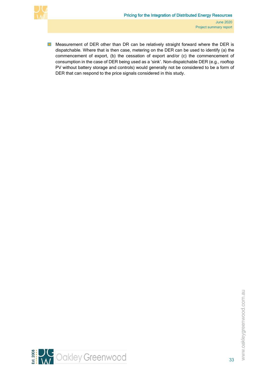

 $\blacksquare$ Measurement of DER other than DR can be relatively straight forward where the DER is dispatchable. Where that is then case, metering on the DER can be used to identify (a) the commencement of export, (b) the cessation of export and/or (c) the commencement of consumption in the case of DER being used as a 'sink'. Non-dispatchable DER (e.g., rooftop PV without battery storage and controls) would generally not be considered to be a form of DER that can respond to the price signals considered in this study.



33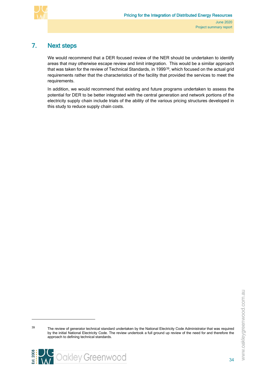

# 7. Next steps

<span id="page-38-0"></span>We would recommend that a DER focused review of the NER should be undertaken to identify areas that may otherwise escape review and limit integration. This would be a similar approach that was taken for the review of Technical Standards, in 1999<sup>[39](#page-38-1)</sup>, which focused on the actual grid requirements rather that the characteristics of the facility that provided the services to meet the requirements.

In addition, we would recommend that existing and future programs undertaken to assess the potential for DER to be better integrated with the central generation and network portions of the electricity supply chain include trials of the ability of the various pricing structures developed in this study to reduce supply chain costs.

<span id="page-38-1"></span><sup>&</sup>lt;sup>39</sup> The review of generator technical standard undertaken by the National Electricity Code Administrator that was required by the initial National Electricity Code. The review undertook a full ground up review of the need for and therefore the approach to defining technical standards.